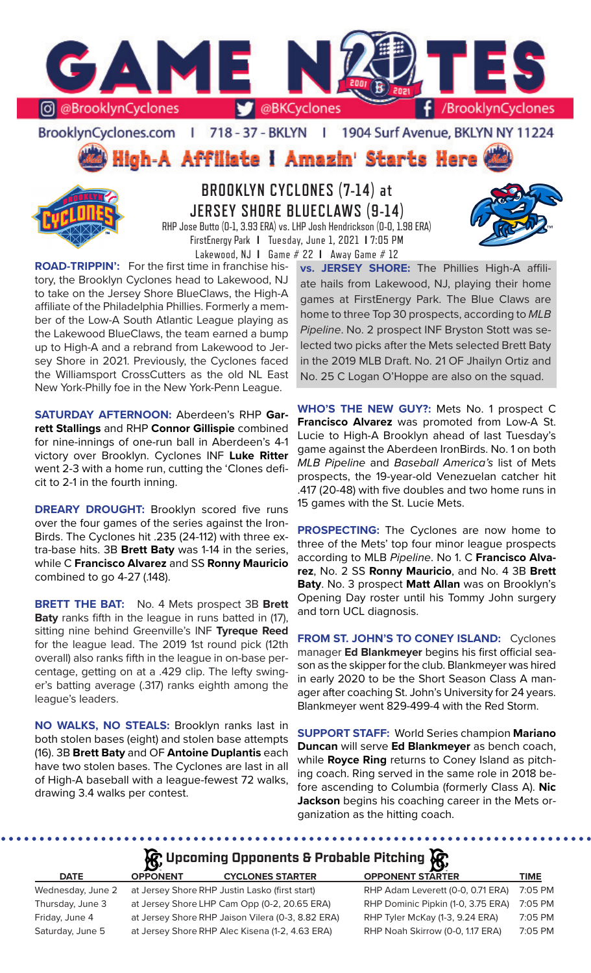

BrooklynCyclones.com | 718 - 37 - BKLYN | 1904 Surf Avenue, BKLYN NY 11224

High-A Affiliate I Amazin' Starts Here



# **BROOKLYN CYCLONES (7-14) at JERSEY SHORE BLUECLAWS (9-14)** RHP Jose Butto (0-1, 3.93 ERA) vs. LHP Josh Hendrickson (0-0, 1.98 ERA)



**ROAD-TRIPPIN':** For the first time in franchise history, the Brooklyn Cyclones head to Lakewood, NJ to take on the Jersey Shore BlueClaws, the High-A affiliate of the Philadelphia Phillies. Formerly a member of the Low-A South Atlantic League playing as the Lakewood BlueClaws, the team earned a bump up to High-A and a rebrand from Lakewood to Jersey Shore in 2021. Previously, the Cyclones faced the Williamsport CrossCutters as the old NL East New York-Philly foe in the New York-Penn League.

**SATURDAY AFTERNOON:** Aberdeen's RHP **Garrett Stallings** and RHP **Connor Gillispie** combined for nine-innings of one-run ball in Aberdeen's 4-1 victory over Brooklyn. Cyclones INF **Luke Ritter** went 2-3 with a home run, cutting the 'Clones deficit to 2-1 in the fourth inning.

**DREARY DROUGHT:** Brooklyn scored five runs over the four games of the series against the Iron-Birds. The Cyclones hit .235 (24-112) with three extra-base hits. 3B **Brett Baty** was 1-14 in the series, while C **Francisco Alvarez** and SS **Ronny Mauricio** combined to go 4-27 (.148).

**BRETT THE BAT:** No. 4 Mets prospect 3B **Brett Baty** ranks fifth in the league in runs batted in (17), sitting nine behind Greenville's INF **Tyreque Reed** for the league lead. The 2019 1st round pick (12th overall) also ranks fifth in the league in on-base percentage, getting on at a .429 clip. The lefty swinger's batting average (.317) ranks eighth among the league's leaders.

**NO WALKS, NO STEALS:** Brooklyn ranks last in both stolen bases (eight) and stolen base attempts (16). 3B **Brett Baty** and OF **Antoine Duplantis** each have two stolen bases. The Cyclones are last in all of High-A baseball with a league-fewest 72 walks, drawing 3.4 walks per contest.

**vs. JERSEY SHORE:** The Phillies High-A affiliate hails from Lakewood, NJ, playing their home games at FirstEnergy Park. The Blue Claws are home to three Top 30 prospects, according to *MLB Pipeline*. No. 2 prospect INF Bryston Stott was selected two picks after the Mets selected Brett Baty in the 2019 MLB Draft. No. 21 OF Jhailyn Ortiz and No. 25 C Logan O'Hoppe are also on the squad.

**WHO'S THE NEW GUY?:** Mets No. 1 prospect C **Francisco Alvarez** was promoted from Low-A St. Lucie to High-A Brooklyn ahead of last Tuesday's game against the Aberdeen IronBirds. No. 1 on both *MLB Pipeline* and *Baseball America's* list of Mets prospects, the 19-year-old Venezuelan catcher hit .417 (20-48) with five doubles and two home runs in 15 games with the St. Lucie Mets.

**PROSPECTING:** The Cyclones are now home to three of the Mets' top four minor league prospects according to MLB *Pipeline*. No 1. C **Francisco Alvarez**, No. 2 SS **Ronny Mauricio**, and No. 4 3B **Brett Baty**. No. 3 prospect **Matt Allan** was on Brooklyn's Opening Day roster until his Tommy John surgery and torn UCL diagnosis.

**FROM ST. JOHN'S TO CONEY ISLAND:** Cyclones manager **Ed Blankmeyer** begins his first official season as the skipper for the club. Blankmeyer was hired in early 2020 to be the Short Season Class A manager after coaching St. John's University for 24 years. Blankmeyer went 829-499-4 with the Red Storm.

**SUPPORT STAFF:** World Series champion **Mariano Duncan** will serve **Ed Blankmeyer** as bench coach, while **Royce Ring** returns to Coney Island as pitching coach. Ring served in the same role in 2018 before ascending to Columbia (formerly Class A). **Nic Jackson** begins his coaching career in the Mets organization as the hitting coach.

# **A** Upcoming Opponents & Probable Pitching

| <b>DATE</b>       | <b>OPPONE</b> |
|-------------------|---------------|
| Wednesday, June 2 | at Jersey     |
| Thursday, June 3  | at Jersey     |
| Friday, June 4    | at Jersey     |
| Saturday, June 5  | at Jersey     |

**DATEPONES STARTER** Shore RHP Justin Lasko (first start) Shore LHP Cam Opp (0-2, 20.65 ERA) Shore RHP Jaison Vilera (0-3, 8.82 ERA) Shore RHP Alec Kisena (1-2, 4.63 ERA)

| <b>OPPONENT STARTER</b>            | <b>TIME</b> |
|------------------------------------|-------------|
| RHP Adam Leverett (0-0, 0.71 ERA)  | 7:05 PM     |
| RHP Dominic Pipkin (1-0, 3.75 ERA) | 7:05 PM     |
| RHP Tyler McKay (1-3, 9.24 ERA)    | 7:05 PM     |
| RHP Noah Skirrow (0-0, 1.17 ERA)   | $7:05$ PM   |
|                                    |             |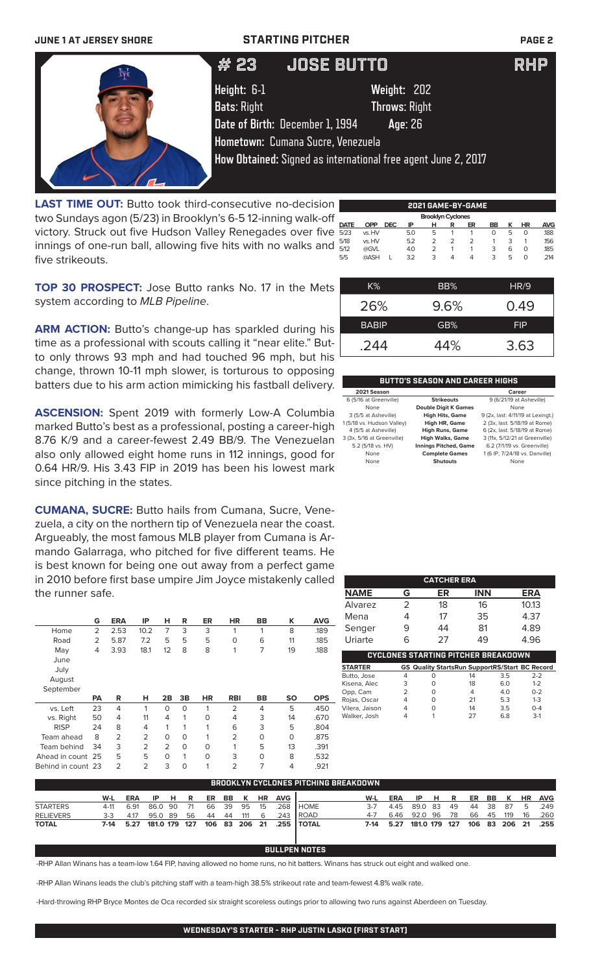**JUNE 1 AT JERSEY SHORE STARTING PITCHER PAGE 2**



**LAST TIME OUT:** Butto took third-consecutive no-decision two Sundays agon (5/23) in Brooklyn's 6-5 12-inning walk-off victory. Struck out five Hudson Valley Renegades over five innings of one-run ball, allowing five hits with no walks and five strikeouts.

|      |            |            |     |                          |   | 2021 GAME-BY-GAME |    |   |    |            |
|------|------------|------------|-----|--------------------------|---|-------------------|----|---|----|------------|
|      |            |            |     | <b>Brooklyn Cyclones</b> |   |                   |    |   |    |            |
| DATE | <b>OPP</b> | <b>DEC</b> | ΙP  | н                        | R | ER                | BB | к | HR | <b>AVG</b> |
| 5/23 | vs. HV     |            | 5.0 | 5                        |   |                   | 0  | 5 | O  | .188       |
| 5/18 | vs. HV     |            | 5.2 | 2                        | 2 | $\mathcal{P}$     |    | 3 |    | 156        |
| 5/12 | @GVL       |            | 4.0 | $\mathcal{P}$            |   |                   | 3  | 6 | O  | .185       |
| 5/5  | @ASH       |            | 3.2 | 3                        | 4 | 4                 | 3  | 5 | O  | .214       |
|      |            |            |     |                          |   |                   |    |   |    |            |

**TOP 30 PROSPECT:** Jose Butto ranks No. 17 in the Mets system according to *MLB Pipeline*.

**ARM ACTION:** Butto's change-up has sparkled during his time as a professional with scouts calling it "near elite." Butto only throws 93 mph and had touched 96 mph, but his change, thrown 10-11 mph slower, is torturous to opposing batters due to his arm action mimicking his fastball delivery.

**ASCENSION:** Spent 2019 with formerly Low-A Columbia marked Butto's best as a professional, posting a career-high 8.76 K/9 and a career-fewest 2.49 BB/9. The Venezuelan also only allowed eight home runs in 112 innings, good for 0.64 HR/9. His 3.43 FIP in 2019 has been his lowest mark since pitching in the states.

**CUMANA, SUCRE:** Butto hails from Cumana, Sucre, Venezuela, a city on the northern tip of Venezuela near the coast. Argueably, the most famous MLB player from Cumana is Armando Galarraga, who pitched for five different teams. He is best known for being one out away from a perfect game in 2010 before first base umpire Jim Joyce mistakenly called the runner safe.

|                   | G              | <b>ERA</b>     | ΙP   | н              | R        | ER        | <b>HR</b>      | BB        | ĸ         | <b>AVG</b> |
|-------------------|----------------|----------------|------|----------------|----------|-----------|----------------|-----------|-----------|------------|
| Home              | $\overline{2}$ | 2.53           | 10.2 | 7              | 3        | 3         | 1              | 1         | 8         | .189       |
| Road              | 2              | 5.87           | 7.2  | 5              | 5        | 5         | 0              | 6         | 11        | .185       |
| May               | 4              | 3.93           | 18.1 | 12             | 8        | 8         | 1              | 7         | 19        | .188       |
| June              |                |                |      |                |          |           |                |           |           |            |
| July              |                |                |      |                |          |           |                |           |           |            |
| August            |                |                |      |                |          |           |                |           |           |            |
| September         |                |                |      |                |          |           |                |           |           |            |
|                   |                |                |      |                |          |           |                |           |           |            |
|                   | <b>PA</b>      | R              | н    | 2B             | 3B       | <b>HR</b> | <b>RBI</b>     | <b>BB</b> | <b>SO</b> | <b>OPS</b> |
| vs. Left          | 23             | 4              | 1    | O              | $\Omega$ | 1         | $\overline{2}$ | 4         | 5         | .450       |
| vs. Right         | 50             | 4              | 11   | 4              | 1        | O         | $\overline{4}$ | 3         | 14        | .670       |
| <b>RISP</b>       | 24             | 8              | 4    | 1              | 1        | 1         | 6              | 3         | 5         | .804       |
| Team ahead        | 8              | $\overline{2}$ | 2    | $\Omega$       | $\Omega$ | 1         | $\overline{2}$ | 0         | $\Omega$  | .875       |
| Team behind       | 34             | 3              | 2    | $\overline{2}$ | 0        | $\Omega$  | 1              | 5         | 13        | .391       |
| Ahead in count 25 |                | 5              | 5    | $\Omega$       | 1        | O         | 3              | 0         | 8         | .532       |

| $K\%$        | BB%     | HR/9       |
|--------------|---------|------------|
| 26%          | $9.6\%$ | 0.49       |
| <b>BABIP</b> | GB%     | <b>FIP</b> |
| .244         | 44%     | 3.63       |

## **BUTTO'S SEASON AND CAREER HIGHS**

| 2021 Season                |                              | Career                            |
|----------------------------|------------------------------|-----------------------------------|
| 6 (5/16 at Greenville)     | <b>Strikeouts</b>            | 9 (6/21/19 at Asheville)          |
| None                       | <b>Double Digit K Games</b>  | None                              |
| 3 (5/5 at Asheville)       | <b>High Hits, Game</b>       | 9 (2x, last: 4/11/19 at Lexingt.) |
| 1 (5/18 vs. Hudson Valley) | <b>High HR, Game</b>         | 2 (3x, last: 5/18/19 at Rome)     |
| 4 (5/5 at Asheville)       | <b>High Runs, Game</b>       | 6 (2x, last: 5/18/19 at Rome)     |
| 3 (3x, 5/16 at Greenville) | <b>High Walks, Game</b>      | 3 (11x, 5/12/21 at Greenville)    |
| 5.2 (5/18 vs. HV)          | <b>Innings Pitched, Game</b> | 6.2 (7/1/19 vs. Greenville)       |
| None                       | <b>Complete Games</b>        | 1 (6 IP, 7/24/18 vs. Danville)    |
| None                       | <b>Shutouts</b>              | None                              |

| <b>CATCHER ERA</b> |   |    |            |            |  |  |  |  |  |
|--------------------|---|----|------------|------------|--|--|--|--|--|
| <b>NAME</b>        | G | ER | <b>INN</b> | <b>ERA</b> |  |  |  |  |  |
| Alvarez            | 2 | 18 | 16         | 10.13      |  |  |  |  |  |
| Mena               |   | 17 | 35         | 4.37       |  |  |  |  |  |
| Senger             | 9 | 44 | 81         | 4.89       |  |  |  |  |  |
| Uriarte            | h | 27 | 49         | 4.96       |  |  |  |  |  |

| CYCLONES STARTING PITCHER BREAKDOWN |   |   |                                                       |     |         |  |  |  |
|-------------------------------------|---|---|-------------------------------------------------------|-----|---------|--|--|--|
| <b>STARTER</b>                      |   |   | <b>GS Quality StartsRun SupportRS/Start BC Record</b> |     |         |  |  |  |
| Butto, Jose                         | 4 | O | 14                                                    | 3.5 | $2-2$   |  |  |  |
| Kisena, Alec                        | 3 | O | 18                                                    | 6.0 | $1 - 2$ |  |  |  |
| Opp, Cam                            |   | O | 4                                                     | 4.0 | $0 - 2$ |  |  |  |
| Rojas, Oscar                        | 4 | Ω | 21                                                    | 5.3 | $1 - 3$ |  |  |  |
| Vilera, Jaison                      | 4 | O | 14                                                    | 3.5 | $O - 4$ |  |  |  |
| Walker, Josh                        | Δ |   | 27                                                    | 68  | $3-1$   |  |  |  |

| BROOKLYN CYCLONES PITCHING BREAKDOWN |       |            |            |  |  |    |  |        |    |                |                                                  |         |                         |                 |  |           |            |      |                    |
|--------------------------------------|-------|------------|------------|--|--|----|--|--------|----|----------------|--------------------------------------------------|---------|-------------------------|-----------------|--|-----------|------------|------|--------------------|
|                                      | W-L   | <b>ERA</b> | IP HR      |  |  |    |  |        |    | ER BB K HR AVG |                                                  | W-L     | ERA                     | IPHR            |  |           |            |      | ER BB K HR AVG     |
| <b>STARTERS</b>                      |       | 4-11 6.91  | 86.0 90 71 |  |  |    |  |        |    |                | 66 39 95 15 .268 HOME                            | $3 - 7$ |                         | 4.45 89.0 83 49 |  |           | 44 38 87 5 |      | .249               |
| <b>RELIEVERS</b>                     | $3-3$ | 4.17       | 95.0 89 56 |  |  | 44 |  | 44 111 | -6 |                | .243 IROAD                                       | 4-7     |                         | 6.46 92.0 96 78 |  | 66 45 119 |            | - 16 | .260               |
| <b>TOTAL</b>                         |       |            |            |  |  |    |  |        |    |                | 7-14 5.27 181.0 179 127 106 83 206 21 .255 TOTAL |         | 7-14 5.27 181.0 179 127 |                 |  |           |            |      | 106 83 206 21 .255 |

## **BULLPEN NOTES**

-RHP Allan Winans has a team-low 1.64 FIP, having allowed no home runs, no hit batters. Winans has struck out eight and walked one.

-RHP Allan Winans leads the club's pitching staff with a team-high 38.5% strikeout rate and team-fewest 4.8% walk rate.

-Hard-throwing RHP Bryce Montes de Oca recorded six straight scoreless outings prior to allowing two runs against Aberdeen on Tuesday.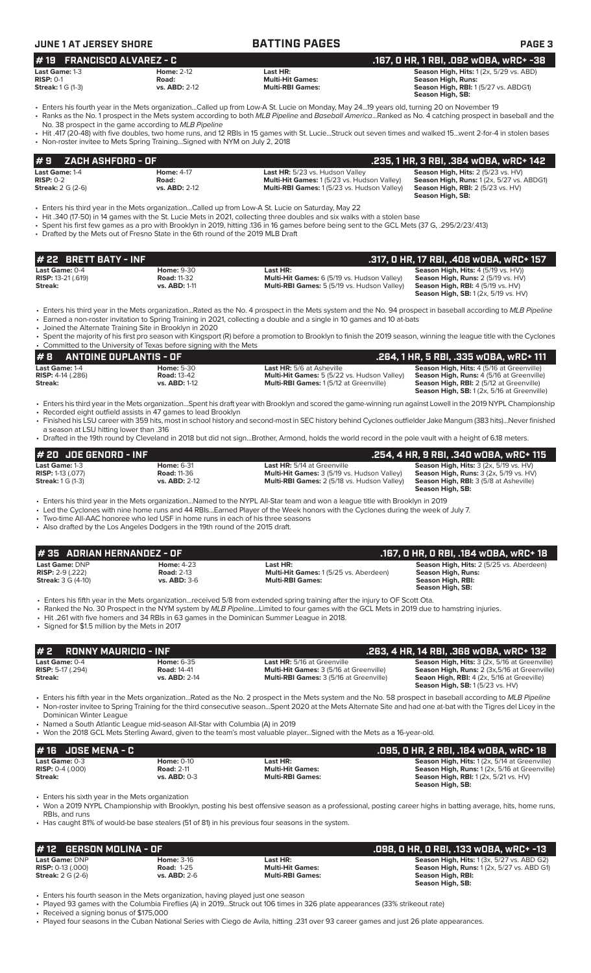| <b>JUNE 1 AT JERSEY SHORE</b>                                                                                                                                      |                                                          | <b>BATTING PAGES</b>                                                                                                                                                                                                                                                                                                                                                                                                                                                                           | PAGE <sub>3</sub>                                                                                                                                                                                                           |
|--------------------------------------------------------------------------------------------------------------------------------------------------------------------|----------------------------------------------------------|------------------------------------------------------------------------------------------------------------------------------------------------------------------------------------------------------------------------------------------------------------------------------------------------------------------------------------------------------------------------------------------------------------------------------------------------------------------------------------------------|-----------------------------------------------------------------------------------------------------------------------------------------------------------------------------------------------------------------------------|
| <b>FRANCISCO ALVAREZ - C</b><br>#19<br>Last Game: 1-3<br><b>RISP: 0-1</b><br><b>Streak:</b> 1 G (1-3)                                                              | <b>Home: 2-12</b><br>Road:<br>vs. ABD: 2-12              | Last HR:<br><b>Multi-Hit Games:</b><br><b>Multi-RBI Games:</b>                                                                                                                                                                                                                                                                                                                                                                                                                                 | .167, 0 HR, 1 RBI, .092 w0BA, wRC+ -38<br>Season High, Hits: 1 (2x, 5/29 vs. ABD)<br><b>Season High, Runs:</b><br>Season High, RBI: 1 (5/27 vs. ABDG1)<br>Season High, SB:                                                  |
| No. 38 prospect in the game according to MLB Pipeline<br>• Non-roster invitee to Mets Spring Training Signed with NYM on July 2, 2018                              |                                                          | • Enters his fourth year in the Mets organizationCalled up from Low-A St. Lucie on Monday, May 2419 years old, turning 20 on November 19<br>· Ranks as the No. 1 prospect in the Mets system according to both MLB Pipeline and Baseball AmericaRanked as No. 4 catching prospect in baseball and the<br>• Hit .417 (20-48) with five doubles, two home runs, and 12 RBIs in 15 games with St. LucieStruck out seven times and walked 15went 2-for-4 in stolen bases                           |                                                                                                                                                                                                                             |
| ZACH ASHFORD - OF<br>#9                                                                                                                                            |                                                          |                                                                                                                                                                                                                                                                                                                                                                                                                                                                                                | .235, 1 HR, 3 RBI, .384 WOBA, WRC+ 142                                                                                                                                                                                      |
| Last Game: 1-4<br><b>RISP: 0-2</b><br><b>Streak:</b> 2 G (2-6)                                                                                                     | <b>Home: 4-17</b><br>Road:<br>vs. ABD: 2-12              | Last HR: 5/23 vs. Hudson Valley<br>Multi-Hit Games: 1 (5/23 vs. Hudson Valley)<br>Multi-RBI Games: 1(5/23 vs. Hudson Valley)                                                                                                                                                                                                                                                                                                                                                                   | Season High, Hits: 2 (5/23 vs. HV)<br>Season High, Runs: 1 (2x, 5/27 vs. ABDG1)<br>Season High, RBI: 2 (5/23 vs. HV)<br>Season High, SB:                                                                                    |
| • Drafted by the Mets out of Fresno State in the 6th round of the 2019 MLB Draft                                                                                   |                                                          | Enters his third year in the Mets organizationCalled up from Low-A St. Lucie on Saturday, May 22<br>• Hit .340 (17-50) in 14 games with the St. Lucie Mets in 2021, collecting three doubles and six walks with a stolen base<br>• Spent his first few games as a pro with Brooklyn in 2019, hitting .136 in 16 games before being sent to the GCL Mets (37 G, .295/2/23/.413)                                                                                                                 |                                                                                                                                                                                                                             |
| # 22 BRETT BATY - INF                                                                                                                                              |                                                          |                                                                                                                                                                                                                                                                                                                                                                                                                                                                                                | .317, 0 HR, 17 RBI, .408 w0BA, wRC+ 157                                                                                                                                                                                     |
| Last Game: 0-4<br><b>RISP: 13-21 (.619)</b><br>Streak:                                                                                                             | Home: 9-30<br><b>Road: 11-32</b><br>vs. ABD: 1-11        | Last HR:<br>Multi-Hit Games: 6 (5/19 vs. Hudson Valley)<br>Multi-RBI Games: 5 (5/19 vs. Hudson Valley)                                                                                                                                                                                                                                                                                                                                                                                         | Season High, Hits: 4 (5/19 vs. HV))<br>Season High, Runs: 2 (5/19 vs. HV)<br><b>Season High, RBI: 4 (5/19 vs. HV)</b><br><b>Season High, SB:</b> 1 (2x, 5/19 vs. HV)                                                        |
| • Joined the Alternate Training Site in Brooklyn in 2020                                                                                                           |                                                          | • Enters his third year in the Mets organizationRated as the No. 4 prospect in the Mets system and the No. 94 prospect in baseball according to MLB Pipeline<br>• Earned a non-roster invitation to Spring Training in 2021, collecting a double and a single in 10 games and 10 at-bats<br>• Spent the majority of his first pro season with Kingsport (R) before a promotion to Brooklyn to finish the 2019 season, winning the league title with the Cyclones                               |                                                                                                                                                                                                                             |
| • Committed to the University of Texas before signing with the Mets                                                                                                |                                                          |                                                                                                                                                                                                                                                                                                                                                                                                                                                                                                |                                                                                                                                                                                                                             |
| #8<br><b>ANTOINE DUPLANTIS - OF</b><br>Last Game: 1-4<br>RISP: 4-14 (.286)<br>Streak:                                                                              | Home: 5-30<br><b>Road: 13-42</b><br>vs. ABD: 1-12        | Last HR: 5/6 at Asheville<br>Multi-Hit Games: 5 (5/22 vs. Hudson Valley)<br>Multi-RBI Games: 1 (5/12 at Greenville)                                                                                                                                                                                                                                                                                                                                                                            | .264, 1 HR, 5 RBI, .335 wOBA, wRC+ 111<br>Season High, Hits: 4 (5/16 at Greenville)<br>Season High, Runs: 4 (5/16 at Greenville)<br>Season High, RBI: 2 (5/12 at Greenville)<br>Season High, SB: 1 (2x, 5/16 at Greenville) |
| • Recorded eight outfield assists in 47 games to lead Brooklyn<br>a season at LSU hitting lower than .316                                                          |                                                          | • Enters his third year in the Mets organization…Spent his draft year with Brooklyn and scored the game-winning run against Lowell in the 2019 NYPL Championship<br>• Finished his LSU career with 359 hits, most in school history and second-most in SEC history behind Cyclones outfielder Jake Mangum (383 hits)Never finished<br>• Drafted in the 19th round by Cleveland in 2018 but did not signBrother, Armond, holds the world record in the pole vault with a height of 6.18 meters. |                                                                                                                                                                                                                             |
| # 20 JOE GENORD - INF                                                                                                                                              |                                                          |                                                                                                                                                                                                                                                                                                                                                                                                                                                                                                | .254, 4 HR, 9 RBI, .340 WOBA, WRC+ 115                                                                                                                                                                                      |
| Last Game: 1-3<br>RISP: 1-13 (.077)<br><b>Streak: 1 G (1-3)</b>                                                                                                    | <b>Home: 6-31</b><br><b>Road: 11-36</b><br>vs. ABD: 2-12 | Last HR: 5/14 at Greenville<br>Multi-Hit Games: 3 (5/19 vs. Hudson Valley)<br>Multi-RBI Games: 2 (5/18 vs. Hudson Valley)                                                                                                                                                                                                                                                                                                                                                                      | Season High, Hits: 3 (2x, 5/19 vs. HV)<br>Season High, Runs: 3 (2x, 5/19 vs. HV)<br>Season High, RBI: 3 (5/8 at Asheville)<br>Season High, SB:                                                                              |
| • Two-time All-AAC honoree who led USF in home runs in each of his three seasons<br>• Also drafted by the Los Angeles Dodgers in the 19th round of the 2015 draft. |                                                          | • Enters his third year in the Mets organizationNamed to the NYPL All-Star team and won a league title with Brooklyn in 2019<br>• Led the Cyclones with nine home runs and 44 RBIsEarned Player of the Week honors with the Cyclones during the week of July 7.                                                                                                                                                                                                                                |                                                                                                                                                                                                                             |
| #35 ADRIAN HERNANDEZ - OF                                                                                                                                          |                                                          |                                                                                                                                                                                                                                                                                                                                                                                                                                                                                                | .167, 0 HR, 0 RBI, .184 w0BA, wRC+ 18                                                                                                                                                                                       |
| Last Game: DNP<br>$RISP: 2-9(.222)$<br><b>Streak:</b> 3 G (4-10)                                                                                                   | <b>Home: 4-23</b><br><b>Road: 2-13</b><br>vs. ABD: 3-6   | Last HR:<br>Multi-Hit Games: 1 (5/25 vs. Aberdeen)<br><b>Multi-RBI Games:</b>                                                                                                                                                                                                                                                                                                                                                                                                                  | Season High, Hits: 2 (5/25 vs. Aberdeen)<br><b>Season High, Runs:</b><br>Season High, RBI:<br>Season High, SB:                                                                                                              |
| • Signed for \$1.5 million by the Mets in 2017                                                                                                                     |                                                          | • Enters his fifth year in the Mets organizationreceived 5/8 from extended spring training after the injury to OF Scott Ota.<br>• Ranked the No. 30 Prospect in the NYM system by MLB PipelineLimited to four games with the GCL Mets in 2019 due to hamstring injuries.<br>• Hit .261 with five homers and 34 RBIs in 63 games in the Dominican Summer League in 2018.                                                                                                                        |                                                                                                                                                                                                                             |
| <b>RONNY MAURICIO - INF</b><br>#2                                                                                                                                  |                                                          |                                                                                                                                                                                                                                                                                                                                                                                                                                                                                                | .263, 4 HR, 14 RBI, .368 wOBA, wRC+ 132                                                                                                                                                                                     |
| Last Game: 0-4<br><b>RISP:</b> 5-17 (.294)<br>Streak:                                                                                                              | Home: 6-35<br><b>Road: 14-41</b><br>vs. ABD: 2-14        | Last HR: 5/16 at Greenville<br>Multi-Hit Games: 3 (5/16 at Greenville)<br>Multi-RBI Games: 3 (5/16 at Greenville)                                                                                                                                                                                                                                                                                                                                                                              | Season High, Hits: 3 (2x, 5/16 at Greenville)<br>Season High, Runs: 2 (3x,5/16 at Greenville)<br>Seaon High, RBI: 4 (2x, 5/16 at Greeville)<br>Season High, SB: 1 (5/23 vs. HV)                                             |
| Dominican Winter League<br>• Named a South Atlantic League mid-season All-Star with Columbia (A) in 2019                                                           |                                                          | • Enters his fifth year in the Mets organizationRated as the No. 2 prospect in the Mets system and the No. 58 prospect in baseball according to MLB Pipeline<br>• Non-roster invitee to Spring Training for the third consecutive seasonSpent 2020 at the Mets Alternate Site and had one at-bat with the Tigres del Licey in the<br>• Won the 2018 GCL Mets Sterling Award, given to the team's most valuable playerSigned with the Mets as a 16-year-old.                                    |                                                                                                                                                                                                                             |
|                                                                                                                                                                    |                                                          |                                                                                                                                                                                                                                                                                                                                                                                                                                                                                                |                                                                                                                                                                                                                             |
| #16 JOSE MENA - C<br>Last Game: 0-3<br>RISP: 0-4 (.000)<br>Streak:                                                                                                 | <b>Home: 0-10</b><br><b>Road: 2-11</b><br>vs. ABD: 0-3   | Last HR:<br><b>Multi-Hit Games:</b><br><b>Multi-RBI Games:</b>                                                                                                                                                                                                                                                                                                                                                                                                                                 | .095, 0 HR, 2 RBI, .184 w0BA, wRC+ 18<br>Season High, Hits: 1 (2x, 5/14 at Greenville)<br>Season High, Runs: 1 (2x, 5/16 at Greenville)<br>Season High, RBI: 1 (2x, 5/21 vs. HV)<br>Season High, SB:                        |
| • Enters his sixth year in the Mets organization<br>RBIs, and runs                                                                                                 |                                                          | • Won a 2019 NYPL Championship with Brooklyn, posting his best offensive season as a professional, posting career highs in batting average, hits, home runs,                                                                                                                                                                                                                                                                                                                                   |                                                                                                                                                                                                                             |
|                                                                                                                                                                    |                                                          | • Has caught 81% of would-be base stealers (51 of 81) in his previous four seasons in the system.                                                                                                                                                                                                                                                                                                                                                                                              |                                                                                                                                                                                                                             |
| <b>GERSON MOLINA - OF</b><br># 12                                                                                                                                  |                                                          |                                                                                                                                                                                                                                                                                                                                                                                                                                                                                                | .098, 0 HR, 0 RBI, .133 w0BA, wRC+ -13                                                                                                                                                                                      |
| Last Game: DNP<br><b>RISP: 0-13 (.000)</b><br><b>Streak: 2 G (2-6)</b>                                                                                             | Home: 3-16<br><b>Road: 1-25</b><br>vs. ABD: 2-6          | Last HR:<br><b>Multi-Hit Games:</b><br><b>Multi-RBI Games:</b>                                                                                                                                                                                                                                                                                                                                                                                                                                 | Season High, Hits: 1 (3x, 5/27 vs. ABD G2)<br>Season High, Runs: 1 (2x, 5/27 vs. ABD G1)<br>Season High, RBI:<br>Season High, SB:                                                                                           |

• Enters his fourth season in the Mets organization, having played just one season

• Played 93 games with the Columbia Fireflies (A) in 2019...Struck out 106 times in 326 plate appearances (33% strikeout rate)

• Received a signing bonus of \$175,000

• Played four seasons in the Cuban National Series with Ciego de Avila, hitting .231 over 93 career games and just 26 plate appearances.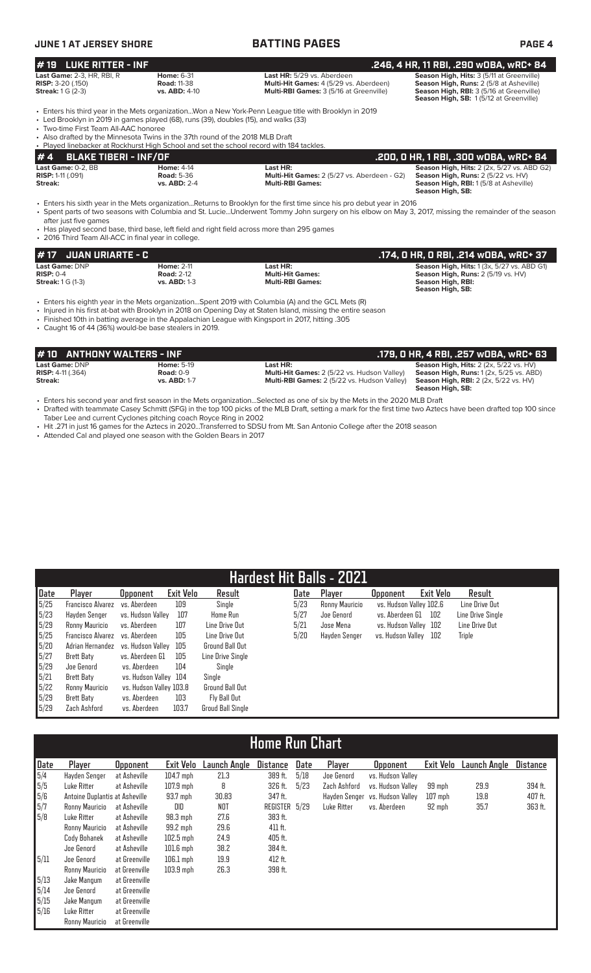| <b>JUNE 1 AT JERSEY SHORE</b>                                                                                                                                                                                                                                                                              |                                                                 | <b>BATTING PAGES</b>                                                                                                                                                                                                                                                                                                                                                            | PAGE 4                                                                                                                                                                     |  |  |  |  |  |
|------------------------------------------------------------------------------------------------------------------------------------------------------------------------------------------------------------------------------------------------------------------------------------------------------------|-----------------------------------------------------------------|---------------------------------------------------------------------------------------------------------------------------------------------------------------------------------------------------------------------------------------------------------------------------------------------------------------------------------------------------------------------------------|----------------------------------------------------------------------------------------------------------------------------------------------------------------------------|--|--|--|--|--|
| <b>LUKE RITTER - INF</b><br>#19                                                                                                                                                                                                                                                                            |                                                                 | .246, 4 HR, 11 RBI, .290 wOBA, wRC+ 84                                                                                                                                                                                                                                                                                                                                          |                                                                                                                                                                            |  |  |  |  |  |
| <b>Last Game: 2-3, HR, RBI, R</b><br><b>RISP: 3-20 (.150)</b><br><b>Streak:</b> 1 G (2-3)                                                                                                                                                                                                                  | <b>Home: 6-31</b><br><b>Road: 11-38</b><br><b>vs. ABD: 4-10</b> | Last HR: 5/29 vs. Aberdeen<br>Multi-Hit Games: 4 (5/29 vs. Aberdeen)<br>Multi-RBI Games: 3 (5/16 at Greenville)                                                                                                                                                                                                                                                                 | Season High, Hits: 3 (5/11 at Greenville)<br>Season High, Runs: 2 (5/8 at Asheville)<br>Season High, RBI: 3 (5/16 at Greenville)<br>Season High, SB: 1(5/12 at Greenville) |  |  |  |  |  |
| • Led Brooklyn in 2019 in games played (68), runs (39), doubles (15), and walks (33)<br>• Two-time First Team All-AAC honoree<br>• Also drafted by the Minnesota Twins in the 37th round of the 2018 MLB Draft<br>• Played linebacker at Rockhurst High School and set the school record with 184 tackles. |                                                                 | Enters his third year in the Mets organizationWon a New York-Penn League title with Brooklyn in 2019                                                                                                                                                                                                                                                                            |                                                                                                                                                                            |  |  |  |  |  |
| <b>BLAKE TIBERI - INF/OF</b><br>#4                                                                                                                                                                                                                                                                         |                                                                 |                                                                                                                                                                                                                                                                                                                                                                                 | .200, 0 HR, 1 RBI, .300 w0BA, wRC+ 84                                                                                                                                      |  |  |  |  |  |
| Last Game: 0-2. BB<br><b>RISP: 1-11 (.091)</b><br>Streak:                                                                                                                                                                                                                                                  | <b>Home: 4-14</b><br><b>Road: 5-36</b><br><b>vs. ABD: 2-4</b>   | Last HR:<br>Multi-Hit Games: 2 (5/27 vs. Aberdeen - G2)<br><b>Multi-RBI Games:</b>                                                                                                                                                                                                                                                                                              | Season High, Hits: 2 (2x, 5/27 vs. ABD G2)<br>Season High, Runs: 2 (5/22 vs. HV)<br><b>Season High, RBI:</b> 1(5/8 at Asheville)<br>Season High, SB:                       |  |  |  |  |  |
| after just five games<br>• 2016 Third Team All-ACC in final year in college.                                                                                                                                                                                                                               |                                                                 | • Enters his sixth year in the Mets organizationReturns to Brooklyn for the first time since his pro debut year in 2016<br>• Spent parts of two seasons with Columbia and St. LucieUnderwent Tommy John surgery on his elbow on May 3, 2017, missing the remainder of the season<br>• Has played second base, third base, left field and right field across more than 295 games |                                                                                                                                                                            |  |  |  |  |  |
| <b>JUAN URIARTE - C</b><br># 17                                                                                                                                                                                                                                                                            |                                                                 |                                                                                                                                                                                                                                                                                                                                                                                 | .174, 0 HR, 0 RBI, .214 w0BA, wRC+ 37                                                                                                                                      |  |  |  |  |  |
| Last Game: DNP<br>$RISP: 0-4$                                                                                                                                                                                                                                                                              | <b>Home: 2-11</b><br><b>Road: 2-12</b>                          | Last HR:<br><b>Multi-Hit Games:</b>                                                                                                                                                                                                                                                                                                                                             | Season High, Hits: 1 (3x, 5/27 vs. ABD G1)<br>Season High, Runs: 2 (5/19 vs. HV)                                                                                           |  |  |  |  |  |

 **Season High, SB:**  • Enters his eighth year in the Mets organization...Spent 2019 with Columbia (A) and the GCL Mets (R)

- Injured in his first at-bat with Brooklyn in 2018 on Opening Day at Staten Island, missing the entire season
- Finished 10th in batting average in the Appalachian League with Kingsport in 2017, hitting .305 • Caught 16 of 44 (36%) would-be base stealers in 2019.

| <b>#10 ANTHONY WALTERS - INF</b> |                   |                                                    | .179. O HR. 4 RBI. .257 wOBA. wRC+ 63                    |
|----------------------------------|-------------------|----------------------------------------------------|----------------------------------------------------------|
| Last Game: DNP                   | <b>Home: 5-19</b> | Last HR: .                                         | <b>Season High, Hits: 2 (2x, 5/22 vs. HV)</b>            |
| <b>RISP:</b> $4-11(.364)$        | Road: $0-9$       | <b>Multi-Hit Games:</b> 2 (5/22 vs. Hudson Valley) | <b>Season High, Runs:</b> $1(2x, 5/25 \text{ vs. } ABD)$ |
| Streak:                          | vs. ABD: 1-7      | <b>Multi-RBI Games: 2 (5/22 vs. Hudson Valley)</b> | <b>Season High, RBI:</b> 2 (2x, 5/22 vs. HV)             |
|                                  |                   |                                                    | Season High, SB:                                         |

**Streak:** 1 G (1-3) **vs. ABD:** 1-3 **Multi-RBI Games: Season High, RBI:** 

• Enters his second year and first season in the Mets organization...Selected as one of six by the Mets in the 2020 MLB Draft • Drafted with teammate Casey Schmitt (SFG) in the top 100 picks of the MLB Draft, setting a mark for the first time two Aztecs have been drafted top 100 since Taber Lee and current Cyclones pitching coach Royce Ring in 2002

- Hit .271 in just 16 games for the Aztecs in 2020...Transferred to SDSU from Mt. San Antonio College after the 2018 season
- Attended Cal and played one season with the Golden Bears in 2017

### **Hardest Hit Balls - 2021 Date Player Opponent Exit Velo Result** 5/25 Francisco Alvarez vs. Aberdeen 109 Single 5/23 Hayden Senger vs. Hudson Valley 107 Home Run 5/29 Ronny Mauricio vs. Aberdeen 107 Line Drive Out 5/25 Francisco Alvarez vs. Aberdeen 105 Line Drive Out 5/20 Adrian Hernandez vs. Hudson Valley 105 Ground Ball Out 5/27 Brett Baty vs. Aberdeen G1 105 5/29 Joe Genord vs. Aberdeen 104 Single 5/21 Brett Baty vs. Hudson Valley 104 Single 5/22 Ronny Mauricio vs. Hudson Valley 103.8 Ground Ball Out 5/29 Brett Baty vs. Aberdeen<br>5/29 Zach Ashford vs. Aberdeen 5/29 Zach Ashford vs. Aberdeen 103.7 Groud Ball Single **Date Player Opponent Exit Velo Result**  5/23 Ronny Mauricio vs. Hudson Valley 102.6 5/27 Joe Genord vs. Aberdeen G1 102 Line Drive Single 5/21 Jose Mena vs. Hudson Valley 102 Line Drive Out vs. Hudson Valley 102

# **Home Run Chart**

| Date | Player                         | <b>Opponent</b> | Exit Velo   | Launch Angle | Distance      | Date | Player       | <b>Opponent</b>                 | Exit Velo | Launch Angle | <b>Distance</b> |
|------|--------------------------------|-----------------|-------------|--------------|---------------|------|--------------|---------------------------------|-----------|--------------|-----------------|
| 5/4  | Hayden Senger                  | at Asheville    | $104.7$ mph | 21.3         | 389 ft.       | 5/18 | Joe Genord   | vs. Hudson Valley               |           |              |                 |
| 5/5  | Luke Ritter                    | at Asheville    | $107.9$ mph | 8            | 326 ft.       | 5/23 | Zach Ashford | vs. Hudson Valley               | 99 mph    | 29.9         | 394 ft.         |
| 5/6  | Antoine Duplantis at Asheville |                 | 93.7 mph    | 30.83        | 347 ft.       |      |              | Hayden Senger vs. Hudson Valley | $107$ mph | 19.8         | 407 ft.         |
| 5/7  | Ronny Mauricio                 | at Asheville    | DID         | NOT          | REGISTER 5/29 |      | Luke Ritter  | vs. Aberdeen                    | 92 mph    | 35.7         | 363 ft.         |
| 5/8  | Luke Ritter                    | at Asheville    | $98.3$ mph  | 27.6         | 383 ft.       |      |              |                                 |           |              |                 |
|      | Ronny Mauricio                 | at Asheville    | 99.2 mph    | 29.6         | 411 ft.       |      |              |                                 |           |              |                 |
|      | Cody Bohanek                   | at Asheville    | $102.5$ mph | 24.9         | 405 ft.       |      |              |                                 |           |              |                 |
|      | Joe Genord                     | at Asheville    | $101.6$ mph | 38.2         | 384 ft.       |      |              |                                 |           |              |                 |
| 5/11 | Joe Genord                     | at Greenville   | $106.1$ mph | 19.9         | 412 ft.       |      |              |                                 |           |              |                 |
|      | Ronny Mauricio                 | at Greenville   | $103.9$ mph | 26.3         | 398 ft.       |      |              |                                 |           |              |                 |
| 5/13 | Jake Mangum                    | at Greenville   |             |              |               |      |              |                                 |           |              |                 |
| 5/14 | Joe Genord                     | at Greenville   |             |              |               |      |              |                                 |           |              |                 |
| 5/15 | Jake Mangum                    | at Greenville   |             |              |               |      |              |                                 |           |              |                 |
| 5/16 | Luke Ritter                    | at Greenville   |             |              |               |      |              |                                 |           |              |                 |
|      | Ronny Mauricio                 | at Greenville   |             |              |               |      |              |                                 |           |              |                 |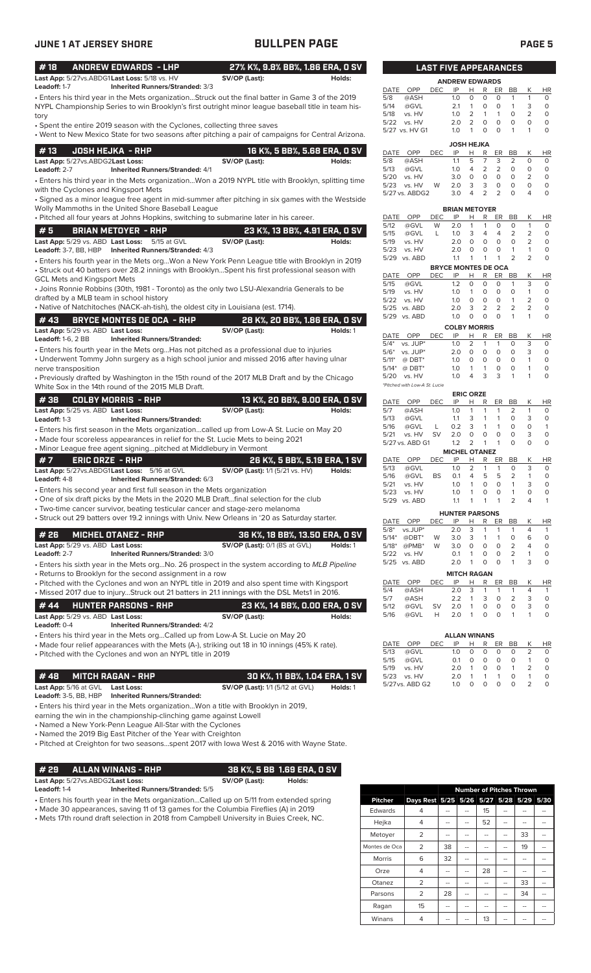| <b>JUNE 1 AT JERSEY SHORE</b>                                                                                                                               | <b>BULLPEN PAGE</b>                                                                                 | <b>PAGE 5</b>                                                                                                                                                                                                       |
|-------------------------------------------------------------------------------------------------------------------------------------------------------------|-----------------------------------------------------------------------------------------------------|---------------------------------------------------------------------------------------------------------------------------------------------------------------------------------------------------------------------|
| #18<br><b>ANDREW EDWARDS - LHP</b><br>Last App: 5/27vs.ABDG1Last Loss: 5/18 vs. HV                                                                          | 27% K%, 9.8% BB%, 1.86 ERA, 0 SV<br>SV/OP (Last):<br>Holds:                                         | <b>LAST FIVE APPEARANCES</b>                                                                                                                                                                                        |
| Leadoff: 1-7<br><b>Inherited Runners/Stranded: 3/3</b>                                                                                                      |                                                                                                     | <b>ANDREW EDWARDS</b><br><b>DEC</b>                                                                                                                                                                                 |
| • Enters his third year in the Mets organizationStruck out the final batter in Game 3 of the 2019                                                           |                                                                                                     | DATE<br>OPP<br>IP<br>H<br>R<br>ER<br>BB<br>Κ<br>HR<br>@ASH<br>1.0<br>$\circ$<br>$\circ$<br>$\circ$<br>$\mathbf{1}$<br>$\mathbf{1}$<br>$\circ$<br>5/8                                                                |
| NYPL Championship Series to win Brooklyn's first outright minor league baseball title in team his-                                                          |                                                                                                     | $\mathsf O$<br>5/14<br>@GVL<br>0<br>$\circ$<br>$\mathbf{1}$<br>3<br>2.1<br>$\mathbf{1}$                                                                                                                             |
| tory                                                                                                                                                        |                                                                                                     | $\overline{2}$<br>5/18<br>2<br>$\mathbf{1}$<br>$\circ$<br>$\circ$<br>vs. HV<br>1.0<br>$\mathbf{1}$<br>$\mathsf O$<br>5/22<br>2<br>$\mathbf 0$<br>$\circ$<br>$\circ$<br>$\circ$<br>vs. HV<br>2.0                     |
| • Spent the entire 2019 season with the Cyclones, collecting three saves                                                                                    | • Went to New Mexico State for two seasons after pitching a pair of campaigns for Central Arizona.  | $\circ$<br>$\Omega$<br>$\mathbf{1}$<br>$\circ$<br>5/27 vs. HV G1<br>1.0<br>$\mathbf{1}$<br>1                                                                                                                        |
|                                                                                                                                                             |                                                                                                     | <b>JOSH HEJKA</b>                                                                                                                                                                                                   |
| #13<br><b>JOSH HEJKA - RHP</b>                                                                                                                              | 16 K%, 5 BB%, 5.68 ERA, 0 SV                                                                        | DATE OPP<br><b>DEC</b><br>IP<br>R<br>K<br><b>HR</b><br>Н<br>ER<br>BB                                                                                                                                                |
| Last App: 5/27vs.ABDG2Last Loss:<br>Leadoff: 2-7<br><b>Inherited Runners/Stranded: 4/1</b>                                                                  | SV/OP (Last):<br>Holds:                                                                             | 5<br>$\overline{7}$<br>3<br>$\overline{2}$<br>1.1<br>$\circ$<br>$\circ$<br>5/8<br>@ASH<br>5/13<br>@GVL<br>$\overline{4}$<br>2<br>2<br>$\circ$<br>0<br>$\circ$<br>1.0                                                |
|                                                                                                                                                             | . Enters his third year in the Mets organizationWon a 2019 NYPL title with Brooklyn, splitting time | $\mathsf O$<br>$\circ$<br>$\circ$<br>$\mathsf O$<br>5/20<br>vs. HV<br>3.0<br>$\circ$<br>2                                                                                                                           |
| with the Cyclones and Kingsport Mets                                                                                                                        |                                                                                                     | 3<br>$\circ$<br>$\mathsf O$<br>3<br>$\circ$<br>$\circ$<br>5/23<br>vs. HV<br>W<br>2.0<br>$\overline{2}$<br>$\overline{2}$<br>$\Omega$<br>5/27 vs. ABDG2<br>3.0<br>$\overline{4}$<br>4<br>$\circ$                     |
|                                                                                                                                                             | • Signed as a minor league free agent in mid-summer after pitching in six games with the Westside   |                                                                                                                                                                                                                     |
| Wolly Mammoths in the United Shore Baseball League                                                                                                          |                                                                                                     | <b>BRIAN METOYER</b><br>К<br>DATE<br>OPP<br><b>DEC</b><br>IP<br>Н<br>R<br>ER<br>BB                                                                                                                                  |
| . Pitched all four years at Johns Hopkins, switching to submarine later in his career.                                                                      |                                                                                                     | HR<br>@GVL<br>W<br>2.0<br>$\mathbf{1}$<br>$\mathbf{1}$<br>$\mathbf 0$<br>$\circ$<br>$\mathbf{1}$<br>$\circ$<br>5/12                                                                                                 |
| #5<br><b>BRIAN METOYER - RHP</b>                                                                                                                            | 23 K%, 13 BB%, 4.91 ERA, 0 SV                                                                       | 2<br>$\overline{2}$<br>5/15<br>@GVL<br>3<br>$\overline{4}$<br>$\overline{4}$<br>$\circ$<br>L<br>1.0                                                                                                                 |
| Last App: 5/29 vs. ABD Last Loss:<br>5/15 at GVL<br>Leadoff: 3-7, BB, HBP<br>Inherited Runners/Stranded: 4/3                                                | SV/OP (Last):<br>Holds:                                                                             | $\mathsf O$<br>$\mathbf 0$<br>$\circ$<br>2<br>5/19<br>2.0<br>$\circ$<br>$\circ$<br>vs. HV<br>5/23<br>2.0<br>$\circ$<br>$\circ$<br>$\circ$<br>$\mathbf{1}$<br>$\mathbf{1}$<br>$\circ$<br>vs. HV                      |
| · Enters his fourth year in the Mets orgWon a New York Penn League title with Brooklyn in 2019                                                              |                                                                                                     | 2<br>$\overline{2}$<br>$\circ$<br>5/29 vs. ABD<br>1.1<br>$\mathbf{1}$<br>$\overline{1}$<br>1                                                                                                                        |
| • Struck out 40 batters over 28.2 innings with BrooklynSpent his first professional season with                                                             |                                                                                                     | <b>BRYCE MONTES DE OCA</b>                                                                                                                                                                                          |
| <b>GCL Mets and Kingsport Mets</b>                                                                                                                          |                                                                                                     | DATE OPP<br><b>DEC</b><br>IP<br>Н<br>R<br>ER<br>BB<br>Κ<br>HR<br>3<br>@GVL<br>1.2<br>$\circ$<br>$\circ$<br>$\circ$<br>$\mathbf{1}$<br>$\circ$<br>5/15                                                               |
| • Joins Ronnie Robbins (30th, 1981 - Toronto) as the only two LSU-Alexandria Generals to be<br>drafted by a MLB team in school history                      |                                                                                                     | 5/19<br>vs. HV<br>$\mathbf{1}$<br>$\circ$<br>$\circ$<br>$\circ$<br>1<br>$\circ$<br>1.0                                                                                                                              |
| • Native of Natchitoches (NACK-ah-tish), the oldest city in Louisiana (est. 1714).                                                                          |                                                                                                     | $\mathsf O$<br>$\mathbf{1}$<br>$\overline{2}$<br>$\circ$<br>$\circ$<br>$\circ$<br>5/22<br>vs. HV<br>1.0<br>$\overline{2}$<br>$\overline{2}$<br>2<br>$\overline{2}$<br>$\circ$<br>3<br>5/25 vs. ABD<br>2.0           |
| #43<br><b>BRYCE MONTES DE OCA - RHP</b>                                                                                                                     | 28 K%, 20 BB%, 1.86 ERA, 0 SV                                                                       | $\circ$<br>$\Omega$<br>1.0<br>$\circ$<br>$\mathbf{1}$<br>1<br>$\circ$<br>5/29 vs. ABD                                                                                                                               |
| Last App: 5/29 vs. ABD Last Loss:                                                                                                                           | SV/OP (Last):<br>Holds: 1                                                                           | <b>COLBY MORRIS</b>                                                                                                                                                                                                 |
| <b>Leadoff: 1-6, 2 BB</b><br><b>Inherited Runners/Stranded:</b>                                                                                             |                                                                                                     | <b>DEC</b><br>IP<br>R<br>ER<br>BB<br>К<br><b>HR</b><br>DATE OPP<br>н<br>$5/4^*$ vs. JUP*<br>1.0<br>2<br>$\mathbf{1}$<br>$\mathbf{1}$<br>$\circ$<br>3<br>$\circ$                                                     |
| • Enters his fourth year in the Mets org Has not pitched as a professional due to injuries                                                                  |                                                                                                     | 3<br>$\circ$<br>$\circ$<br>$\circ$<br>$\circ$<br>$\circ$<br>$5/6*$<br>vs. JUP*<br>2.0                                                                                                                               |
| • Underwent Tommy John surgery as a high school junior and missed 2016 after having ulnar                                                                   |                                                                                                     | $\circ$<br>1.0<br>$\circ$<br>$\circ$<br>$\circ$<br>$\circ$<br>$\mathbf{1}$<br>$5/11*$<br>$@$ DBT*                                                                                                                   |
| nerve transposition<br>• Previously drafted by Washington in the 15th round of the 2017 MLB Draft and by the Chicago                                        |                                                                                                     | $\mathbf 0$<br>$\mathsf O$<br>$@$ DBT*<br>$\mathbf{1}$<br>$\mathbf{1}$<br>$\circ$<br>$5/14*$<br>1.0<br>$\mathbf{1}$<br>3<br>3<br>1.0<br>$\overline{4}$<br>$\mathbf{1}$<br>$\mathbf{1}$<br>$\circ$<br>5/20<br>vs. HV |
| White Sox in the 14th round of the 2015 MLB Draft.                                                                                                          |                                                                                                     | *Pitched with Low-A St. Lucie                                                                                                                                                                                       |
| #38<br><b>COLBY MORRIS - RHP</b>                                                                                                                            | 13 K%, 20 BB%, 9.00 ERA, 0 SV                                                                       | <b>ERIC ORZE</b>                                                                                                                                                                                                    |
| Last App: 5/25 vs. ABD Last Loss:                                                                                                                           | SV/OP (Last):<br>Holds:                                                                             | DATE OPP<br>R<br>К<br><b>DEC</b><br>IP<br>Н<br>ER<br>BB<br>HR<br>1.0<br>2<br>$\mathbf{1}$<br>$\circ$<br>5/7<br>@ASH<br>1<br>1<br>$\mathbf{1}$                                                                       |
| Leadoff: 1-3<br><b>Inherited Runners/Stranded:</b>                                                                                                          |                                                                                                     | 3<br>3<br>$\circ$<br>$\circ$<br>5/13<br>@GVL<br>1.1<br>$\mathbf{1}$<br>$\mathbf{1}$                                                                                                                                 |
| • Enters his first season in the Mets organizationcalled up from Low-A St. Lucie on May 20                                                                  |                                                                                                     | $\circ$<br>5/16<br>@GVL<br>L<br>3<br>$\mathbf{1}$<br>$\mathbf{1}$<br>$\circ$<br>$\mathbf{1}$<br>0.2<br>$\circ$<br>$\mathsf O$<br>vs. HV<br><b>SV</b><br>2.0<br>$\mathbf 0$<br>$\circ$<br>$\mathbf 0$<br>3<br>5/21   |
| • Made four scoreless appearances in relief for the St. Lucie Mets to being 2021                                                                            |                                                                                                     | $\Omega$<br>$\circ$<br>5/27 vs. ABD G1<br>1.2<br>2<br>$\mathbf{1}$<br>$\mathbf{1}$<br>$\Omega$                                                                                                                      |
| • Minor League free agent signingpitched at Middlebury in Vermont                                                                                           |                                                                                                     | <b>MICHEL OTANEZ</b>                                                                                                                                                                                                |
| #7<br>ERIC ORZE - RHP<br>Last App: 5/27vs.ABDG1Last Loss: 5/16 at GVL                                                                                       | 26 K%, 5 BB%, 5.19 ERA, 1 SV<br><b>SV/OP (Last):</b> 1/1 (5/21 vs. HV)<br>Holds:                    | DATE<br>OPP<br>DEC<br>IP<br>R<br>ER<br>BB<br>Κ<br><b>HR</b><br>H<br>$\overline{2}$<br>3<br>5/13<br>@GVL<br>1.0<br>$\mathbf{1}$<br>$\mathbf{1}$<br>0<br>0                                                            |
| Leadoff: 4-8<br>Inherited Runners/Stranded: 6/3                                                                                                             |                                                                                                     | 5<br>5<br>2<br><b>BS</b><br>4<br>$\circ$<br>5/16<br>@GVL<br>0.1<br>$\mathbf{1}$                                                                                                                                     |
| • Enters his second year and first full season in the Mets organization                                                                                     |                                                                                                     | $\circ$<br>$\circ$<br>$\mathbf{1}$<br>3<br>$\circ$<br>5/21<br>vs. HV<br>1.0<br>$\mathbf{1}$<br>$\mathsf O$<br>$\mathbf 0$<br>$\circ$<br>$\mathbf{1}$<br>$\circ$<br>5/23<br>vs. HV<br>1.0<br>$\mathbf{1}$            |
| . One of six draft picks by the Mets in the 2020 MLB Draftfinal selection for the club                                                                      |                                                                                                     | 2<br>4<br>$\mathbf{1}$<br>5/29 vs. ABD<br>1.1<br>$\mathbf{1}$<br>$\mathbf{1}$<br>1                                                                                                                                  |
| • Two-time cancer survivor, beating testicular cancer and stage-zero melanoma                                                                               |                                                                                                     | <b>HUNTER PARSONS</b>                                                                                                                                                                                               |
| • Struck out 29 batters over 19.2 innings with Univ. New Orleans in '20 as Saturday starter.                                                                |                                                                                                     | DATE<br>OPP<br><b>DEC</b><br>IP<br>Н<br>R<br>ER<br>BB<br>К<br>HR                                                                                                                                                    |
| #26<br><b>MICHEL OTANEZ - RHP</b>                                                                                                                           | 36 K%, 18 BB%, 13.50 ERA, 0 SV                                                                      | 2.0<br>3<br>$5/8*$<br>vs.JUP*<br>1<br>$\mathbf{1}$<br>$\mathbf{1}$<br>4<br>$\mathbf{1}$<br>3.0<br>3<br>$\mathbf{1}$<br>0<br>$\circ$<br>$5/14*$<br>@DBT*<br>1<br>6<br>W                                              |
| Last App: 5/29 vs. ABD Last Loss:                                                                                                                           | SV/OP (Last): 0/1 (BS at GVL)<br>Holds: 1                                                           | $\overline{2}$<br>0<br>$\circ$<br>0<br>$\circ$<br>$5/18*$<br>@PMB*<br>W<br>3.0<br>4                                                                                                                                 |
| Leadoff: 2-7<br>Inherited Runners/Stranded: 3/0                                                                                                             |                                                                                                     | $\overline{2}$<br>$\circ$<br>0<br>$\circ$<br>5/22<br>vs. HV<br>0.1<br>$\mathbf{1}$<br>1<br>$\circ$<br>$\circ$<br>3<br>$\circ$<br>5/25 vs. ABD<br>2.0<br>$\mathbf{1}$<br>$\mathbf{1}$                                |
| • Enters his sixth year in the Mets orgNo. 26 prospect in the system according to MLB Pipeline<br>• Returns to Brooklyn for the second assignment in a row  |                                                                                                     | <b>MITCH RAGAN</b>                                                                                                                                                                                                  |
| • Pitched with the Cyclones and won an NYPL title in 2019 and also spent time with Kingsport                                                                |                                                                                                     | DEC<br>IP<br>Н<br>R<br>ER<br>Κ<br>DATE<br>OPP<br>BB<br>HR                                                                                                                                                           |
| . Missed 2017 due to injuryStruck out 21 batters in 21.1 innings with the DSL Mets1 in 2016.                                                                |                                                                                                     | 3<br>$\mathbf{1}$<br>$\mathbf{1}$<br>$\overline{4}$<br>$\mathbf{1}$<br>5/4<br>@ASH<br>2.0<br>1                                                                                                                      |
| # 44<br><b>HUNTER PARSONS - RHP</b>                                                                                                                         | 23 K%, 14 BB%, 0.00 ERA, 0 SV                                                                       | 3<br>0<br>2<br>3<br>$\circ$<br>5/7<br>@ASH<br>2.2<br>$\mathbf{1}$<br>$\mathsf O$<br>$\mathbf 0$<br>0<br>3<br>$\mathsf O$<br>5/12<br>@GVL<br><b>SV</b><br>2.0<br>$\mathbf{1}$                                        |
| Last App: 5/29 vs. ABD Last Loss:                                                                                                                           | SV/OP (Last):<br>Holds:                                                                             | Н<br>$\circ$<br>$\circ$<br>$\mathbf{1}$<br>$\circ$<br>5/16<br>@GVL<br>2.0<br>$\mathbf{1}$<br>$\mathbf{1}$                                                                                                           |
| Leadoff: 0-4<br><b>Inherited Runners/Stranded: 4/2</b>                                                                                                      |                                                                                                     |                                                                                                                                                                                                                     |
| • Enters his third year in the Mets orgCalled up from Low-A St. Lucie on May 20                                                                             |                                                                                                     | <b>ALLAN WINANS</b><br>OPP<br>Κ<br><b>DEC</b><br>IP<br>R<br>ER<br>BB<br><b>HR</b><br>DATE<br>Н                                                                                                                      |
| • Made four relief appearances with the Mets (A-), striking out 18 in 10 innings (45% K rate).<br>• Pitched with the Cyclones and won an NYPL title in 2019 |                                                                                                     | $\circ$<br>0<br>2<br>5/13<br>@GVL<br>1.0<br>0<br>0<br>0                                                                                                                                                             |
|                                                                                                                                                             |                                                                                                     | $\circ$<br>$\circ$<br>$\circ$<br>5/15<br>@GVL<br>0.1<br>0<br>0<br>$\mathbf{1}$                                                                                                                                      |
| #48<br><b>MITCH RAGAN - RHP</b>                                                                                                                             | 30 K%, 11 BB%, 1.04 ERA, 1 SV                                                                       | $\overline{2}$<br>$\mathbf{1}$<br>$\circ$<br>0<br>$\mathbf{1}$<br>$\circ$<br>5/19<br>vs. HV<br>2.0<br>0<br>$\mathbf{1}$<br>$\circ$<br>5/23<br>vs. HV<br>2.0<br>$\mathbf{1}$<br>$\mathbf{1}$<br>$\mathbf{1}$         |
| Last App: 5/16 at GVL<br><b>Last Loss:</b>                                                                                                                  | <b>SV/OP (Last):</b> 1/1 (5/12 at GVL)<br>Holds: 1                                                  | $\circ$<br>$\circ$<br>$\circ$<br>$\circ$<br>2<br>$\circ$<br>5/27 vs. ABD G2<br>1.0                                                                                                                                  |
| Leadoff: 3-5, BB, HBP<br><b>Inherited Runners/Stranded:</b>                                                                                                 |                                                                                                     |                                                                                                                                                                                                                     |
| • Enters his third year in the Mets organizationWon a title with Brooklyn in 2019,                                                                          |                                                                                                     |                                                                                                                                                                                                                     |
| earning the win in the championship-clinching game against Lowell                                                                                           |                                                                                                     |                                                                                                                                                                                                                     |
| • Named a New York-Penn League All-Star with the Cyclones<br>• Named the 2019 Big East Pitcher of the Year with Creighton                                   |                                                                                                     |                                                                                                                                                                                                                     |
| . Pitched at Creighton for two seasonsspent 2017 with lowa West & 2016 with Wayne State.                                                                    |                                                                                                     |                                                                                                                                                                                                                     |
|                                                                                                                                                             |                                                                                                     |                                                                                                                                                                                                                     |
| <b>ALLAN WINANS - RHP</b><br># 29                                                                                                                           | 38 K%, 5 BB 1.69 ERA, 0 SV                                                                          |                                                                                                                                                                                                                     |
| Last App: 5/27vs.ABDG2Last Loss:                                                                                                                            | SV/OP (Last):<br>Holds:                                                                             |                                                                                                                                                                                                                     |
| Leadoff: 1-4<br><b>Inherited Runners/Stranded: 5/5</b>                                                                                                      |                                                                                                     | <b>Number of Pitches Thrown</b>                                                                                                                                                                                     |
| • Enters his fourth year in the Mets organizationCalled up on 5/11 from extended spring                                                                     |                                                                                                     | Days Rest 5/25 5/26 5/27 5/28 5/29 5/30<br><b>Pitcher</b>                                                                                                                                                           |

• Made 30 appearances, saving 11 of 13 games for the Columbia Fireflies (A) in 2019

• Mets 17th round draft selection in 2018 from Campbell University in Buies Creek, NC.

|                |                                         | <b>Number of Pitches Thrown</b> |  |    |  |    |  |
|----------------|-----------------------------------------|---------------------------------|--|----|--|----|--|
| <b>Pitcher</b> | Days Rest 5/25 5/26 5/27 5/28 5/29 5/30 |                                 |  |    |  |    |  |
| Edwards        | 4                                       |                                 |  | 15 |  |    |  |
| Hejka          | 4                                       |                                 |  | 52 |  |    |  |
| Metoyer        | 2                                       |                                 |  |    |  | 33 |  |
| Montes de Oca  | $\overline{2}$                          | 38                              |  |    |  | 19 |  |
| <b>Morris</b>  | 6                                       | 32                              |  |    |  |    |  |
| Orze           | 4                                       |                                 |  | 28 |  |    |  |
| Otanez         | $\overline{2}$                          |                                 |  |    |  | 33 |  |
| Parsons        | $\overline{2}$                          | 28                              |  |    |  | 34 |  |
| Ragan          | 15                                      |                                 |  |    |  |    |  |
| Winans         | 4                                       |                                 |  | 13 |  |    |  |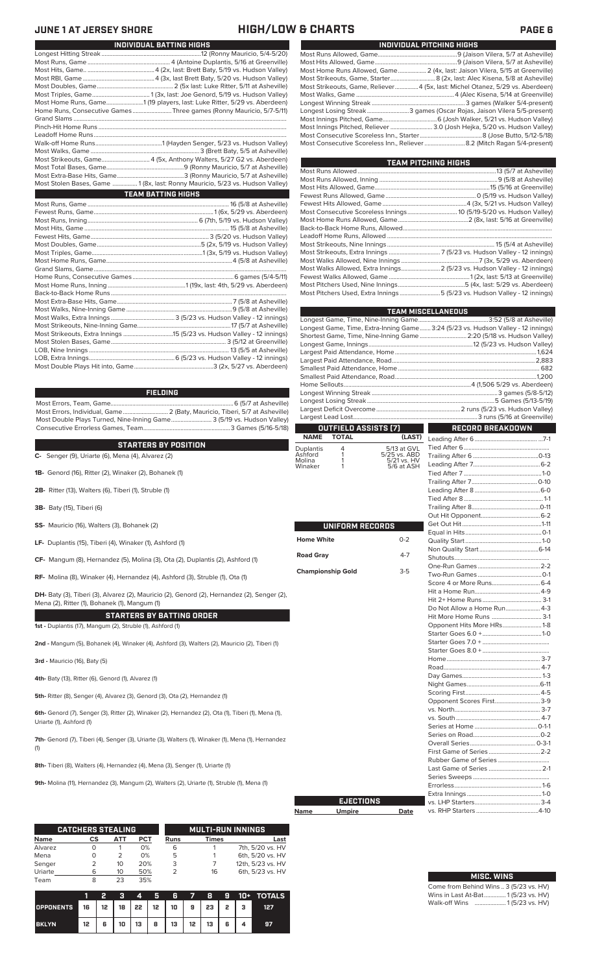## **JUNE 1 AT JERSEY SHORE HIGH/LOW & CHARTS PAGE 6**

| INDIVIDUAL PITCHING HIGHS                                                      |
|--------------------------------------------------------------------------------|
|                                                                                |
|                                                                                |
| Most Home Runs Allowed, Game 2 (4x, last: Jaison Vilera, 5/15 at Greenville)   |
|                                                                                |
| Most Strikeouts, Game, Reliever 4 (5x, last: Michel Otanez, 5/29 vs. Aberdeen) |
|                                                                                |
|                                                                                |
| Longest Losing Streak3 games (Oscar Rojas, Jaison Vilera 5/5-present)          |
|                                                                                |
| Most Innings Pitched, Reliever  3.0 (Josh Hejka, 5/20 vs. Hudson Valley)       |
|                                                                                |
| Most Consecutive Scoreless Inn., Reliever 8.2 (Mitch Ragan 5/4-present)        |
|                                                                                |

| TEAM PITCHING HIGHS                                                       |  |
|---------------------------------------------------------------------------|--|
|                                                                           |  |
|                                                                           |  |
|                                                                           |  |
|                                                                           |  |
|                                                                           |  |
|                                                                           |  |
|                                                                           |  |
|                                                                           |  |
|                                                                           |  |
|                                                                           |  |
|                                                                           |  |
|                                                                           |  |
| Most Walks Allowed, Extra Innings 2 (5/23 vs. Hudson Valley - 12 innings) |  |
|                                                                           |  |
|                                                                           |  |
| Most Pitchers Used, Extra Innings 5 (5/23 vs. Hudson Valley - 12 innings) |  |
|                                                                           |  |

|                             |                          |                             | <b>TEAM MISCELLANEOUS</b>                                                        |  |  |  |  |
|-----------------------------|--------------------------|-----------------------------|----------------------------------------------------------------------------------|--|--|--|--|
|                             |                          |                             |                                                                                  |  |  |  |  |
|                             |                          |                             | Longest Game, Time, Extra-Inning Game 3:24 (5/23 vs. Hudson Valley - 12 innings) |  |  |  |  |
|                             |                          |                             | Shortest Game, Time, Nine-Inning Game  2:20 (5/18 vs. Hudson Valley)             |  |  |  |  |
|                             |                          |                             |                                                                                  |  |  |  |  |
|                             |                          |                             |                                                                                  |  |  |  |  |
|                             |                          |                             |                                                                                  |  |  |  |  |
|                             |                          |                             |                                                                                  |  |  |  |  |
|                             |                          |                             |                                                                                  |  |  |  |  |
|                             |                          |                             |                                                                                  |  |  |  |  |
|                             |                          |                             |                                                                                  |  |  |  |  |
|                             |                          |                             |                                                                                  |  |  |  |  |
|                             |                          |                             |                                                                                  |  |  |  |  |
|                             | OUTFIELD ASSISTS (7)     |                             | <b>RECORD BREAKDOWN</b>                                                          |  |  |  |  |
| <b>NAME</b>                 | <b>TOTAL</b>             | (LAST)                      |                                                                                  |  |  |  |  |
| Duplantis                   | 4                        | 5/13 at GVL                 |                                                                                  |  |  |  |  |
| Ashford<br>Molina           | 1<br>1                   | 5/25 vs. ABD<br>5/21 vs. HV |                                                                                  |  |  |  |  |
| Winaker                     | 1                        | 5/6 at ASH                  |                                                                                  |  |  |  |  |
|                             |                          |                             |                                                                                  |  |  |  |  |
|                             |                          |                             |                                                                                  |  |  |  |  |
|                             |                          |                             |                                                                                  |  |  |  |  |
|                             |                          |                             |                                                                                  |  |  |  |  |
|                             |                          |                             |                                                                                  |  |  |  |  |
|                             |                          |                             |                                                                                  |  |  |  |  |
|                             | UNIFORM RECORDS          |                             |                                                                                  |  |  |  |  |
| <b>Home White</b>           |                          | $0 - 2$                     |                                                                                  |  |  |  |  |
|                             |                          |                             |                                                                                  |  |  |  |  |
| $4 - 7$<br><b>Road Gray</b> |                          |                             |                                                                                  |  |  |  |  |
|                             |                          |                             |                                                                                  |  |  |  |  |
|                             | <b>Championship Gold</b> | $3-5$                       |                                                                                  |  |  |  |  |
|                             |                          |                             |                                                                                  |  |  |  |  |
|                             |                          |                             |                                                                                  |  |  |  |  |
|                             |                          |                             |                                                                                  |  |  |  |  |
|                             |                          |                             | Do Not Allow a Home Run 4-3                                                      |  |  |  |  |
|                             |                          |                             | Hit More Home Runs  3-1                                                          |  |  |  |  |
|                             |                          |                             | Opponent Hits More HRs1-8                                                        |  |  |  |  |
|                             |                          |                             |                                                                                  |  |  |  |  |
|                             |                          |                             |                                                                                  |  |  |  |  |
|                             |                          |                             |                                                                                  |  |  |  |  |
|                             |                          |                             |                                                                                  |  |  |  |  |
|                             |                          |                             |                                                                                  |  |  |  |  |
|                             |                          |                             |                                                                                  |  |  |  |  |
|                             |                          |                             |                                                                                  |  |  |  |  |
|                             |                          |                             |                                                                                  |  |  |  |  |
|                             |                          |                             | Opponent Scores First3-9                                                         |  |  |  |  |
|                             |                          |                             |                                                                                  |  |  |  |  |
|                             |                          |                             |                                                                                  |  |  |  |  |
|                             |                          |                             |                                                                                  |  |  |  |  |
|                             |                          |                             |                                                                                  |  |  |  |  |
|                             |                          |                             |                                                                                  |  |  |  |  |
|                             |                          |                             |                                                                                  |  |  |  |  |
|                             |                          |                             | Last Game of Series  2-1                                                         |  |  |  |  |
|                             |                          |                             |                                                                                  |  |  |  |  |
|                             |                          |                             |                                                                                  |  |  |  |  |
|                             |                          |                             |                                                                                  |  |  |  |  |
|                             | <b>EJECTIONS</b>         |                             |                                                                                  |  |  |  |  |
| Name                        | <b>Umpire</b>            | Date                        |                                                                                  |  |  |  |  |

### Come from Behind Wins .. 3 (5/23 vs. HV)<br>Wins in Last At-Bat.............. 1 (5/23 vs. HV) Wins in Last At-Bat............. Walk-off Wins .................... 1 (5/23 vs. HV) **MISC. WINS**

| <b>TEAM BATTING HIGHS</b> |                                                                               |  |
|---------------------------|-------------------------------------------------------------------------------|--|
|                           |                                                                               |  |
|                           |                                                                               |  |
|                           | Most Home Runs, Game1 (19 players, last: Luke Ritter, 5/29 vs. Aberdeen)      |  |
|                           | Home Runs, Consecutive Games Three games (Ronny Mauricio, 5/7-5/11)           |  |
|                           |                                                                               |  |
|                           |                                                                               |  |
|                           |                                                                               |  |
|                           |                                                                               |  |
|                           |                                                                               |  |
|                           |                                                                               |  |
|                           |                                                                               |  |
|                           |                                                                               |  |
|                           | Most Stolen Bases, Game  1 (8x, last: Ronny Mauricio, 5/23 vs. Hudson Valley) |  |
|                           |                                                                               |  |
|                           |                                                                               |  |
|                           |                                                                               |  |
|                           |                                                                               |  |
|                           |                                                                               |  |
|                           |                                                                               |  |
|                           |                                                                               |  |
|                           |                                                                               |  |
|                           |                                                                               |  |
|                           |                                                                               |  |
|                           |                                                                               |  |
|                           |                                                                               |  |
|                           |                                                                               |  |
|                           |                                                                               |  |
|                           |                                                                               |  |
|                           |                                                                               |  |
|                           |                                                                               |  |
|                           |                                                                               |  |
|                           |                                                                               |  |
|                           |                                                                               |  |

Longest Hitting Streak ................................................................12 (Ronny Mauricio, 5/4-5/20) Most Runs, Game ..................................................... 4 (Antoine Duplantis, 5/16 at Greenville) Most Hits, Game.. ...........................................4 (2x, last: Brett Baty, 5/19 vs. Hudson Valley)

**INDIVIDUAL BATTING HIGHS**

### **FIELDING**

Most Errors, Team, Game...............................................................................6 (5/7 at Asheville) .<br>2 (Baty, Mauricio, Tiberi, 5/7 at Asheville)<br>e........................... 3 (5/19 vs. Hudson Valley) Most Double Plays Turned, Nine-Inning Game.......................... 3 (5/19 vs. Hudson Valley) Consecutive Errorless Games, Team.

LOB, Extra Innings.......................................................6 (5/23 vs. Hudson Valley - 12 innings) Most Double Plays Hit into, Game...................................................3 (2x, 5/27 vs. Aberdeen)

### **STARTERS BY POSITION**

**C-** Senger (9), Uriarte (6), Mena (4), Alvarez (2)

- **1B-** Genord (16), Ritter (2), Winaker (2), Bohanek (1)
- **2B-** Ritter (13), Walters (6), Tiberi (1), Struble (1)
- **3B-** Baty (15), Tiberi (6)
- **SS-** Mauricio (16), Walters (3), Bohanek (2)
- **LF-** Duplantis (15), Tiberi (4), Winaker (1), Ashford (1)
- **CF-** Mangum (8), Hernandez (5), Molina (3), Ota (2), Duplantis (2), Ashford (1)

**RF-** Molina (8), Winaker (4), Hernandez (4), Ashford (3), Struble (1), Ota (1)

**DH-** Baty (3), Tiberi (3), Alvarez (2), Mauricio (2), Genord (2), Hernandez (2), Senger (2), Mena (2), Ritter (1), Bohanek (1), Mangum (1)

**STARTERS BY BATTING ORDER**

**1st -** Duplantis (17), Mangum (2), Struble (1), Ashford (1)

**2nd -** Mangum (5), Bohanek (4), Winaker (4), Ashford (3), Walters (2), Mauricio (2), Tiberi (1)

**3rd -** Mauricio (16), Baty (5)

**4th-** Baty (13), Ritter (6), Genord (1), Alvarez (1)

**5th-** Ritter (8), Senger (4), Alvarez (3), Genord (3), Ota (2), Hernandez (1)

**6th-** Genord (7), Senger (3), Ritter (2), Winaker (2), Hernandez (2), Ota (1), Tiberi (1), Mena (1), Uriarte (1), Ashford (1)

**7th-** Genord (7), Tiberi (4), Senger (3), Uriarte (3), Walters (1), Winaker (1), Mena (1), Hernandez (1)

**8th-** Tiberi (8), Walters (4), Hernandez (4), Mena (3), Senger (1), Uriarte (1)

**9th-** Molina (11), Hernandez (3), Mangum (2), Walters (2), Uriarte (1), Struble (1), Mena (1)

|             | <b>CATCHERS STEALING</b> |     |            |             | <b>MULTI-RUN INNINGS</b> |                   |  |  |  |
|-------------|--------------------------|-----|------------|-------------|--------------------------|-------------------|--|--|--|
| <b>Name</b> | СS                       | ATT | <b>PCT</b> | <b>Runs</b> | Times                    | Last              |  |  |  |
| Alvarez     |                          |     | 0%         | 6           |                          | 7th, 5/20 vs. HV  |  |  |  |
| Mena        |                          | フ   | 0%         | 5           |                          | 6th, 5/20 vs. HV  |  |  |  |
| Senger      |                          | 10  | 20%        | 3           |                          | 12th, 5/23 vs. HV |  |  |  |
| Uriarte     | 6                        | 10  | 50%        |             | 16                       | 6th, 5/23 vs. HV  |  |  |  |
| Team        | 8                        | つっ  | 35%        |             |                          |                   |  |  |  |

|                                                    |    |   |    | 4  | -5 - 6 |    |                   |   |     | $7$ 8 9 10+ TOTALS |
|----------------------------------------------------|----|---|----|----|--------|----|-------------------|---|-----|--------------------|
| OPPONENTS 16   12   18   22   12   10   9   23   2 |    |   |    |    |        |    |                   |   | - 3 | 127                |
| <b>BKLYN</b>                                       | 12 | 6 | 10 | 13 | 8      | 13 | $12 \mid 13 \mid$ | 6 |     |                    |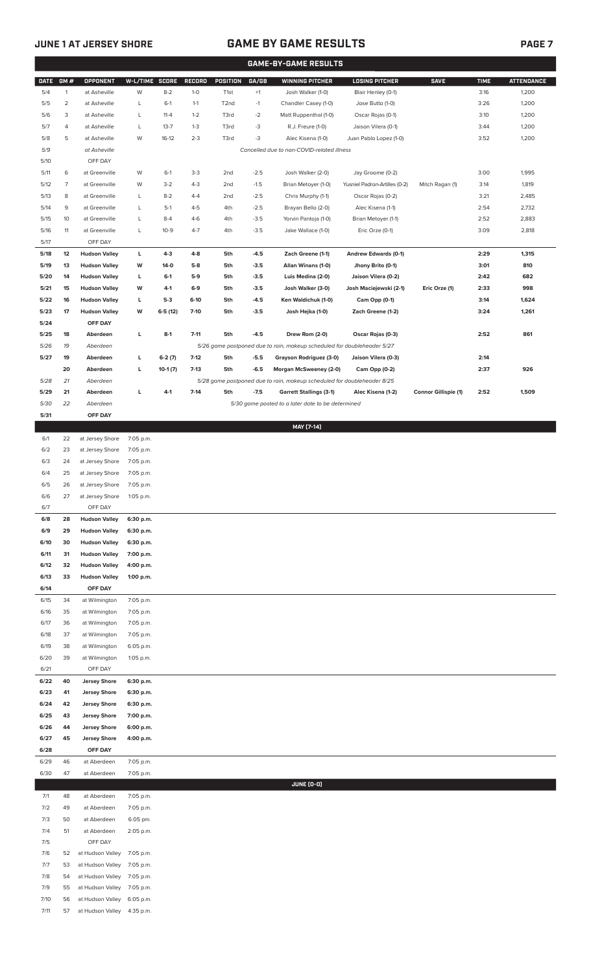# **JUNE 1 AT JERSEY SHORE GAME BY GAME RESULTS PAGE 7**

| GM#<br><b>OPPONENT</b><br>W-L/TIME SCORE<br>GA/GB<br><b>WINNING PITCHER</b><br><b>LOSING PITCHER</b><br><b>SAVE</b><br><b>DATE</b><br><b>RECORD</b><br><b>POSITION</b><br>$\mathbf{1}$<br>W<br>$8 - 2$<br>$+1$<br>5/4<br>at Asheville<br>$1 - 0$<br>T <sub>1st</sub><br>Josh Walker (1-0)<br>Blair Henley (0-1)<br>$\overline{2}$<br>5/5<br>at Asheville<br>L<br>$6-1$<br>$1 - 1$<br>T <sub>2</sub> nd<br>$-1$<br>Chandler Casey (1-0)<br>Jose Butto (1-0)<br>5/6<br>3<br>at Asheville<br>L<br>$11 - 4$<br>$1 - 2$<br>T3rd<br>$-2$<br>Matt Ruppenthal (1-0)<br>Oscar Rojas (0-1)<br>$-3$<br>5/7<br>4<br>at Asheville<br>L<br>$13 - 7$<br>$1 - 3$<br>T3rd<br>R.J. Freure (1-0)<br>Jaison Vilera (0-1)<br>$-3$<br>5/8<br>5<br>at Asheville<br>W<br>$16-12$<br>$2 - 3$<br>T3rd<br>Alec Kisena (1-0)<br>Juan Pablo Lopez (1-0)<br>5/9<br>Cancelled due to non-COVID-related illness<br>at Asheville<br>5/10<br>OFF DAY<br>6<br>$-2.5$<br>Josh Walker (2-0)<br>Jay Groome (0-2)<br>5/11<br>at Greenville<br>W<br>$6-1$<br>$3-3$<br>2nd<br>$\overline{7}$<br>at Greenville<br>$4 - 3$<br>$-1.5$<br>Brian Metoyer (1-0)<br>Yusniel Padron-Artilles (0-2)<br>Mitch Ragan (1)<br>5/12<br>W<br>$3-2$<br>2nd<br>5/13<br>8<br>$8 - 2$<br>$-2.5$<br>Oscar Rojas (0-2)<br>at Greenville<br>L<br>$4 - 4$<br>2nd<br>Chris Murphy (1-1)<br>9<br>$4 - 5$<br>$-2.5$<br>Brayan Bello (2-0)<br>Alec Kisena (1-1)<br>5/14<br>at Greenville<br>L<br>$5-1$<br>4th<br>5/15<br>10<br>$-3.5$<br>Yorvin Pantoja (1-0)<br>Brian Metoyer (1-1)<br>at Greenville<br>L<br>$8-4$<br>$4-6$<br>4th<br>5/16<br>L<br>$4 - 7$<br>$-3.5$<br>Eric Orze (0-1)<br>11<br>at Greenville<br>$10-9$<br>4th<br>Jake Wallace (1-0)<br>5/17<br>OFF DAY<br>12<br><b>Hudson Valley</b><br>L<br>$4-3$<br>$4 - 8$<br>5th<br>$-4.5$<br>Zach Greene (1-1)<br>Andrew Edwards (0-1)<br>5/18<br>5/19<br>13<br><b>Hudson Valley</b><br>$5-8$<br>5th<br>$-3.5$<br>Allan Winans (1-0)<br>Jhony Brito (0-1)<br>W<br>$14-0$<br>5/20<br><b>Hudson Valley</b><br>$5-9$<br>$-3.5$<br>Luis Medina (2-0)<br>Jaison Vilera (0-2)<br>14<br>L<br>$6-1$<br>5th<br>5/21<br>15<br><b>Hudson Valley</b><br>$6-9$<br>$-3.5$<br>Josh Walker (3-0)<br>Josh Maciejewski (2-1)<br>Eric Orze (1)<br>W<br>4-1<br>5th<br>5/22<br><b>Hudson Valley</b><br>$5-3$<br>$-4.5$<br>Ken Waldichuk (1-0)<br>Cam Opp (0-1)<br>16<br>L<br>6-10<br>5th<br>5/23<br>17<br><b>Hudson Valley</b><br>w<br>$6-5(12)$<br>$7-10$<br>$-3.5$<br>Zach Greene (1-2)<br>5th<br>Josh Hejka (1-0)<br>5/24<br>OFF DAY<br>$7 - 11$<br>$-4.5$<br>5/25<br>18<br>L<br>$8-1$<br>5th<br>Drew Rom (2-0)<br>Oscar Rojas (0-3)<br>Aberdeen<br>5/26<br>19<br>5/26 game postponed due to rain, makeup scheduled for doubleheader 5/27<br>Aberdeen<br>5/27<br>19<br>L<br>$6-2(7)$<br>$7-12$<br>$-5.5$<br>Grayson Rodriguez (3-0)<br>Jaison Vilera (0-3)<br>Aberdeen<br>5th<br>$7-13$<br>20<br>L<br>5th<br>$-6.5$<br>Morgan McSweeney (2-0)<br>Cam Opp (0-2)<br>Aberdeen<br>$10-1(7)$<br>5/28<br>21<br>Aberdeen<br>5/28 game postponed due to rain, makeup scheduled for doubleheader 8/25<br>$4 - 1$<br>$7 - 14$<br>5/29<br>21<br>Aberdeen<br>г<br>5th<br>$-7.5$<br><b>Garrett Stallings (3-1)</b><br>Alec Kisena (1-2)<br><b>Connor Gillispie (1)</b><br>5/30<br>22<br>Aberdeen<br>5/30 game posted to a later date to be determined<br>5/31<br>OFF DAY<br>MAY [7-14]<br>6/1<br>22<br>at Jersey Shore<br>7:05 p.m.<br>6/2<br>23<br>at Jersey Shore<br>7:05 p.m.<br>6/3<br>24<br>at Jersey Shore<br>7:05 p.m.<br>6/4<br>25<br>at Jersey Shore<br>7:05 p.m.<br>6/5<br>26<br>at Jersey Shore<br>7:05 p.m.<br>6/6<br>27<br>at Jersey Shore<br>1:05 p.m.<br>OFF DAY<br>6/7<br>6/8<br>28<br><b>Hudson Valley</b><br>6:30 p.m.<br>6/9<br>29<br><b>Hudson Valley</b><br>6:30 p.m.<br>6/10<br>30<br><b>Hudson Valley</b><br>6:30 p.m.<br>6/11<br>31<br><b>Hudson Valley</b><br>7:00 p.m.<br>6/12<br>32<br><b>Hudson Valley</b><br>4:00 p.m.<br>6/13<br>33<br><b>Hudson Valley</b><br>1:00 p.m.<br>OFF DAY<br>6/14<br>34<br>6/15<br>at Wilmington<br>7:05 p.m.<br>6/16<br>35<br>7:05 p.m.<br>at Wilmington<br>6/17<br>36<br>at Wilmington<br>7:05 p.m.<br>6/18<br>37<br>at Wilmington<br>7:05 p.m.<br>6/19<br>38<br>at Wilmington<br>6:05 p.m.<br>6/20<br>39<br>at Wilmington<br>1:05 p.m.<br>6/21<br>OFF DAY | <b>TIME</b><br>3:16<br>3:26<br>3:10<br>3:44<br>3:52<br>3:00<br>3:14<br>3:21<br>2:54<br>2:52<br>3:09<br>2:29<br>3:01<br>2:42<br>2:33<br>3:14<br>3:24<br>2:52<br>2:14 | <b>ATTENDANCE</b><br>1,200<br>1,200<br>1,200<br>1,200<br>1,200<br>1,995<br>1,819<br>2,485<br>2,732<br>2,883<br>2,818<br>1,315<br>810<br>682<br>998<br>1,624<br>1,261<br>861 |
|---------------------------------------------------------------------------------------------------------------------------------------------------------------------------------------------------------------------------------------------------------------------------------------------------------------------------------------------------------------------------------------------------------------------------------------------------------------------------------------------------------------------------------------------------------------------------------------------------------------------------------------------------------------------------------------------------------------------------------------------------------------------------------------------------------------------------------------------------------------------------------------------------------------------------------------------------------------------------------------------------------------------------------------------------------------------------------------------------------------------------------------------------------------------------------------------------------------------------------------------------------------------------------------------------------------------------------------------------------------------------------------------------------------------------------------------------------------------------------------------------------------------------------------------------------------------------------------------------------------------------------------------------------------------------------------------------------------------------------------------------------------------------------------------------------------------------------------------------------------------------------------------------------------------------------------------------------------------------------------------------------------------------------------------------------------------------------------------------------------------------------------------------------------------------------------------------------------------------------------------------------------------------------------------------------------------------------------------------------------------------------------------------------------------------------------------------------------------------------------------------------------------------------------------------------------------------------------------------------------------------------------------------------------------------------------------------------------------------------------------------------------------------------------------------------------------------------------------------------------------------------------------------------------------------------------------------------------------------------------------------------------------------------------------------------------------------------------------------------------------------------------------------------------------------------------------------------------------------------------------------------------------------------------------------------------------------------------------------------------------------------------------------------------------------------------------------------------------------------------------------------------------------------------------------------------------------------------------------------------------------------------------------------------------------------------------------------------------------------------------------------------------------------------------------------------------------------------------------------------------------------------------------------------------------------------------------------------------------------------------------------------------------------------------------------------------------------------------------------------------------------------------------------------------------------------------------------------------------------------------------------------------------|---------------------------------------------------------------------------------------------------------------------------------------------------------------------|-----------------------------------------------------------------------------------------------------------------------------------------------------------------------------|
|                                                                                                                                                                                                                                                                                                                                                                                                                                                                                                                                                                                                                                                                                                                                                                                                                                                                                                                                                                                                                                                                                                                                                                                                                                                                                                                                                                                                                                                                                                                                                                                                                                                                                                                                                                                                                                                                                                                                                                                                                                                                                                                                                                                                                                                                                                                                                                                                                                                                                                                                                                                                                                                                                                                                                                                                                                                                                                                                                                                                                                                                                                                                                                                                                                                                                                                                                                                                                                                                                                                                                                                                                                                                                                                                                                                                                                                                                                                                                                                                                                                                                                                                                                                                                                                                           |                                                                                                                                                                     |                                                                                                                                                                             |
|                                                                                                                                                                                                                                                                                                                                                                                                                                                                                                                                                                                                                                                                                                                                                                                                                                                                                                                                                                                                                                                                                                                                                                                                                                                                                                                                                                                                                                                                                                                                                                                                                                                                                                                                                                                                                                                                                                                                                                                                                                                                                                                                                                                                                                                                                                                                                                                                                                                                                                                                                                                                                                                                                                                                                                                                                                                                                                                                                                                                                                                                                                                                                                                                                                                                                                                                                                                                                                                                                                                                                                                                                                                                                                                                                                                                                                                                                                                                                                                                                                                                                                                                                                                                                                                                           |                                                                                                                                                                     |                                                                                                                                                                             |
|                                                                                                                                                                                                                                                                                                                                                                                                                                                                                                                                                                                                                                                                                                                                                                                                                                                                                                                                                                                                                                                                                                                                                                                                                                                                                                                                                                                                                                                                                                                                                                                                                                                                                                                                                                                                                                                                                                                                                                                                                                                                                                                                                                                                                                                                                                                                                                                                                                                                                                                                                                                                                                                                                                                                                                                                                                                                                                                                                                                                                                                                                                                                                                                                                                                                                                                                                                                                                                                                                                                                                                                                                                                                                                                                                                                                                                                                                                                                                                                                                                                                                                                                                                                                                                                                           |                                                                                                                                                                     |                                                                                                                                                                             |
|                                                                                                                                                                                                                                                                                                                                                                                                                                                                                                                                                                                                                                                                                                                                                                                                                                                                                                                                                                                                                                                                                                                                                                                                                                                                                                                                                                                                                                                                                                                                                                                                                                                                                                                                                                                                                                                                                                                                                                                                                                                                                                                                                                                                                                                                                                                                                                                                                                                                                                                                                                                                                                                                                                                                                                                                                                                                                                                                                                                                                                                                                                                                                                                                                                                                                                                                                                                                                                                                                                                                                                                                                                                                                                                                                                                                                                                                                                                                                                                                                                                                                                                                                                                                                                                                           |                                                                                                                                                                     |                                                                                                                                                                             |
|                                                                                                                                                                                                                                                                                                                                                                                                                                                                                                                                                                                                                                                                                                                                                                                                                                                                                                                                                                                                                                                                                                                                                                                                                                                                                                                                                                                                                                                                                                                                                                                                                                                                                                                                                                                                                                                                                                                                                                                                                                                                                                                                                                                                                                                                                                                                                                                                                                                                                                                                                                                                                                                                                                                                                                                                                                                                                                                                                                                                                                                                                                                                                                                                                                                                                                                                                                                                                                                                                                                                                                                                                                                                                                                                                                                                                                                                                                                                                                                                                                                                                                                                                                                                                                                                           |                                                                                                                                                                     |                                                                                                                                                                             |
|                                                                                                                                                                                                                                                                                                                                                                                                                                                                                                                                                                                                                                                                                                                                                                                                                                                                                                                                                                                                                                                                                                                                                                                                                                                                                                                                                                                                                                                                                                                                                                                                                                                                                                                                                                                                                                                                                                                                                                                                                                                                                                                                                                                                                                                                                                                                                                                                                                                                                                                                                                                                                                                                                                                                                                                                                                                                                                                                                                                                                                                                                                                                                                                                                                                                                                                                                                                                                                                                                                                                                                                                                                                                                                                                                                                                                                                                                                                                                                                                                                                                                                                                                                                                                                                                           |                                                                                                                                                                     |                                                                                                                                                                             |
|                                                                                                                                                                                                                                                                                                                                                                                                                                                                                                                                                                                                                                                                                                                                                                                                                                                                                                                                                                                                                                                                                                                                                                                                                                                                                                                                                                                                                                                                                                                                                                                                                                                                                                                                                                                                                                                                                                                                                                                                                                                                                                                                                                                                                                                                                                                                                                                                                                                                                                                                                                                                                                                                                                                                                                                                                                                                                                                                                                                                                                                                                                                                                                                                                                                                                                                                                                                                                                                                                                                                                                                                                                                                                                                                                                                                                                                                                                                                                                                                                                                                                                                                                                                                                                                                           |                                                                                                                                                                     |                                                                                                                                                                             |
|                                                                                                                                                                                                                                                                                                                                                                                                                                                                                                                                                                                                                                                                                                                                                                                                                                                                                                                                                                                                                                                                                                                                                                                                                                                                                                                                                                                                                                                                                                                                                                                                                                                                                                                                                                                                                                                                                                                                                                                                                                                                                                                                                                                                                                                                                                                                                                                                                                                                                                                                                                                                                                                                                                                                                                                                                                                                                                                                                                                                                                                                                                                                                                                                                                                                                                                                                                                                                                                                                                                                                                                                                                                                                                                                                                                                                                                                                                                                                                                                                                                                                                                                                                                                                                                                           |                                                                                                                                                                     |                                                                                                                                                                             |
|                                                                                                                                                                                                                                                                                                                                                                                                                                                                                                                                                                                                                                                                                                                                                                                                                                                                                                                                                                                                                                                                                                                                                                                                                                                                                                                                                                                                                                                                                                                                                                                                                                                                                                                                                                                                                                                                                                                                                                                                                                                                                                                                                                                                                                                                                                                                                                                                                                                                                                                                                                                                                                                                                                                                                                                                                                                                                                                                                                                                                                                                                                                                                                                                                                                                                                                                                                                                                                                                                                                                                                                                                                                                                                                                                                                                                                                                                                                                                                                                                                                                                                                                                                                                                                                                           |                                                                                                                                                                     |                                                                                                                                                                             |
|                                                                                                                                                                                                                                                                                                                                                                                                                                                                                                                                                                                                                                                                                                                                                                                                                                                                                                                                                                                                                                                                                                                                                                                                                                                                                                                                                                                                                                                                                                                                                                                                                                                                                                                                                                                                                                                                                                                                                                                                                                                                                                                                                                                                                                                                                                                                                                                                                                                                                                                                                                                                                                                                                                                                                                                                                                                                                                                                                                                                                                                                                                                                                                                                                                                                                                                                                                                                                                                                                                                                                                                                                                                                                                                                                                                                                                                                                                                                                                                                                                                                                                                                                                                                                                                                           |                                                                                                                                                                     |                                                                                                                                                                             |
|                                                                                                                                                                                                                                                                                                                                                                                                                                                                                                                                                                                                                                                                                                                                                                                                                                                                                                                                                                                                                                                                                                                                                                                                                                                                                                                                                                                                                                                                                                                                                                                                                                                                                                                                                                                                                                                                                                                                                                                                                                                                                                                                                                                                                                                                                                                                                                                                                                                                                                                                                                                                                                                                                                                                                                                                                                                                                                                                                                                                                                                                                                                                                                                                                                                                                                                                                                                                                                                                                                                                                                                                                                                                                                                                                                                                                                                                                                                                                                                                                                                                                                                                                                                                                                                                           |                                                                                                                                                                     |                                                                                                                                                                             |
|                                                                                                                                                                                                                                                                                                                                                                                                                                                                                                                                                                                                                                                                                                                                                                                                                                                                                                                                                                                                                                                                                                                                                                                                                                                                                                                                                                                                                                                                                                                                                                                                                                                                                                                                                                                                                                                                                                                                                                                                                                                                                                                                                                                                                                                                                                                                                                                                                                                                                                                                                                                                                                                                                                                                                                                                                                                                                                                                                                                                                                                                                                                                                                                                                                                                                                                                                                                                                                                                                                                                                                                                                                                                                                                                                                                                                                                                                                                                                                                                                                                                                                                                                                                                                                                                           |                                                                                                                                                                     |                                                                                                                                                                             |
|                                                                                                                                                                                                                                                                                                                                                                                                                                                                                                                                                                                                                                                                                                                                                                                                                                                                                                                                                                                                                                                                                                                                                                                                                                                                                                                                                                                                                                                                                                                                                                                                                                                                                                                                                                                                                                                                                                                                                                                                                                                                                                                                                                                                                                                                                                                                                                                                                                                                                                                                                                                                                                                                                                                                                                                                                                                                                                                                                                                                                                                                                                                                                                                                                                                                                                                                                                                                                                                                                                                                                                                                                                                                                                                                                                                                                                                                                                                                                                                                                                                                                                                                                                                                                                                                           |                                                                                                                                                                     |                                                                                                                                                                             |
|                                                                                                                                                                                                                                                                                                                                                                                                                                                                                                                                                                                                                                                                                                                                                                                                                                                                                                                                                                                                                                                                                                                                                                                                                                                                                                                                                                                                                                                                                                                                                                                                                                                                                                                                                                                                                                                                                                                                                                                                                                                                                                                                                                                                                                                                                                                                                                                                                                                                                                                                                                                                                                                                                                                                                                                                                                                                                                                                                                                                                                                                                                                                                                                                                                                                                                                                                                                                                                                                                                                                                                                                                                                                                                                                                                                                                                                                                                                                                                                                                                                                                                                                                                                                                                                                           |                                                                                                                                                                     |                                                                                                                                                                             |
|                                                                                                                                                                                                                                                                                                                                                                                                                                                                                                                                                                                                                                                                                                                                                                                                                                                                                                                                                                                                                                                                                                                                                                                                                                                                                                                                                                                                                                                                                                                                                                                                                                                                                                                                                                                                                                                                                                                                                                                                                                                                                                                                                                                                                                                                                                                                                                                                                                                                                                                                                                                                                                                                                                                                                                                                                                                                                                                                                                                                                                                                                                                                                                                                                                                                                                                                                                                                                                                                                                                                                                                                                                                                                                                                                                                                                                                                                                                                                                                                                                                                                                                                                                                                                                                                           |                                                                                                                                                                     |                                                                                                                                                                             |
|                                                                                                                                                                                                                                                                                                                                                                                                                                                                                                                                                                                                                                                                                                                                                                                                                                                                                                                                                                                                                                                                                                                                                                                                                                                                                                                                                                                                                                                                                                                                                                                                                                                                                                                                                                                                                                                                                                                                                                                                                                                                                                                                                                                                                                                                                                                                                                                                                                                                                                                                                                                                                                                                                                                                                                                                                                                                                                                                                                                                                                                                                                                                                                                                                                                                                                                                                                                                                                                                                                                                                                                                                                                                                                                                                                                                                                                                                                                                                                                                                                                                                                                                                                                                                                                                           |                                                                                                                                                                     |                                                                                                                                                                             |
|                                                                                                                                                                                                                                                                                                                                                                                                                                                                                                                                                                                                                                                                                                                                                                                                                                                                                                                                                                                                                                                                                                                                                                                                                                                                                                                                                                                                                                                                                                                                                                                                                                                                                                                                                                                                                                                                                                                                                                                                                                                                                                                                                                                                                                                                                                                                                                                                                                                                                                                                                                                                                                                                                                                                                                                                                                                                                                                                                                                                                                                                                                                                                                                                                                                                                                                                                                                                                                                                                                                                                                                                                                                                                                                                                                                                                                                                                                                                                                                                                                                                                                                                                                                                                                                                           |                                                                                                                                                                     |                                                                                                                                                                             |
|                                                                                                                                                                                                                                                                                                                                                                                                                                                                                                                                                                                                                                                                                                                                                                                                                                                                                                                                                                                                                                                                                                                                                                                                                                                                                                                                                                                                                                                                                                                                                                                                                                                                                                                                                                                                                                                                                                                                                                                                                                                                                                                                                                                                                                                                                                                                                                                                                                                                                                                                                                                                                                                                                                                                                                                                                                                                                                                                                                                                                                                                                                                                                                                                                                                                                                                                                                                                                                                                                                                                                                                                                                                                                                                                                                                                                                                                                                                                                                                                                                                                                                                                                                                                                                                                           |                                                                                                                                                                     |                                                                                                                                                                             |
|                                                                                                                                                                                                                                                                                                                                                                                                                                                                                                                                                                                                                                                                                                                                                                                                                                                                                                                                                                                                                                                                                                                                                                                                                                                                                                                                                                                                                                                                                                                                                                                                                                                                                                                                                                                                                                                                                                                                                                                                                                                                                                                                                                                                                                                                                                                                                                                                                                                                                                                                                                                                                                                                                                                                                                                                                                                                                                                                                                                                                                                                                                                                                                                                                                                                                                                                                                                                                                                                                                                                                                                                                                                                                                                                                                                                                                                                                                                                                                                                                                                                                                                                                                                                                                                                           |                                                                                                                                                                     |                                                                                                                                                                             |
|                                                                                                                                                                                                                                                                                                                                                                                                                                                                                                                                                                                                                                                                                                                                                                                                                                                                                                                                                                                                                                                                                                                                                                                                                                                                                                                                                                                                                                                                                                                                                                                                                                                                                                                                                                                                                                                                                                                                                                                                                                                                                                                                                                                                                                                                                                                                                                                                                                                                                                                                                                                                                                                                                                                                                                                                                                                                                                                                                                                                                                                                                                                                                                                                                                                                                                                                                                                                                                                                                                                                                                                                                                                                                                                                                                                                                                                                                                                                                                                                                                                                                                                                                                                                                                                                           |                                                                                                                                                                     |                                                                                                                                                                             |
|                                                                                                                                                                                                                                                                                                                                                                                                                                                                                                                                                                                                                                                                                                                                                                                                                                                                                                                                                                                                                                                                                                                                                                                                                                                                                                                                                                                                                                                                                                                                                                                                                                                                                                                                                                                                                                                                                                                                                                                                                                                                                                                                                                                                                                                                                                                                                                                                                                                                                                                                                                                                                                                                                                                                                                                                                                                                                                                                                                                                                                                                                                                                                                                                                                                                                                                                                                                                                                                                                                                                                                                                                                                                                                                                                                                                                                                                                                                                                                                                                                                                                                                                                                                                                                                                           |                                                                                                                                                                     |                                                                                                                                                                             |
|                                                                                                                                                                                                                                                                                                                                                                                                                                                                                                                                                                                                                                                                                                                                                                                                                                                                                                                                                                                                                                                                                                                                                                                                                                                                                                                                                                                                                                                                                                                                                                                                                                                                                                                                                                                                                                                                                                                                                                                                                                                                                                                                                                                                                                                                                                                                                                                                                                                                                                                                                                                                                                                                                                                                                                                                                                                                                                                                                                                                                                                                                                                                                                                                                                                                                                                                                                                                                                                                                                                                                                                                                                                                                                                                                                                                                                                                                                                                                                                                                                                                                                                                                                                                                                                                           |                                                                                                                                                                     |                                                                                                                                                                             |
|                                                                                                                                                                                                                                                                                                                                                                                                                                                                                                                                                                                                                                                                                                                                                                                                                                                                                                                                                                                                                                                                                                                                                                                                                                                                                                                                                                                                                                                                                                                                                                                                                                                                                                                                                                                                                                                                                                                                                                                                                                                                                                                                                                                                                                                                                                                                                                                                                                                                                                                                                                                                                                                                                                                                                                                                                                                                                                                                                                                                                                                                                                                                                                                                                                                                                                                                                                                                                                                                                                                                                                                                                                                                                                                                                                                                                                                                                                                                                                                                                                                                                                                                                                                                                                                                           |                                                                                                                                                                     |                                                                                                                                                                             |
|                                                                                                                                                                                                                                                                                                                                                                                                                                                                                                                                                                                                                                                                                                                                                                                                                                                                                                                                                                                                                                                                                                                                                                                                                                                                                                                                                                                                                                                                                                                                                                                                                                                                                                                                                                                                                                                                                                                                                                                                                                                                                                                                                                                                                                                                                                                                                                                                                                                                                                                                                                                                                                                                                                                                                                                                                                                                                                                                                                                                                                                                                                                                                                                                                                                                                                                                                                                                                                                                                                                                                                                                                                                                                                                                                                                                                                                                                                                                                                                                                                                                                                                                                                                                                                                                           | 2:37                                                                                                                                                                | 926                                                                                                                                                                         |
|                                                                                                                                                                                                                                                                                                                                                                                                                                                                                                                                                                                                                                                                                                                                                                                                                                                                                                                                                                                                                                                                                                                                                                                                                                                                                                                                                                                                                                                                                                                                                                                                                                                                                                                                                                                                                                                                                                                                                                                                                                                                                                                                                                                                                                                                                                                                                                                                                                                                                                                                                                                                                                                                                                                                                                                                                                                                                                                                                                                                                                                                                                                                                                                                                                                                                                                                                                                                                                                                                                                                                                                                                                                                                                                                                                                                                                                                                                                                                                                                                                                                                                                                                                                                                                                                           | 2:52                                                                                                                                                                | 1,509                                                                                                                                                                       |
|                                                                                                                                                                                                                                                                                                                                                                                                                                                                                                                                                                                                                                                                                                                                                                                                                                                                                                                                                                                                                                                                                                                                                                                                                                                                                                                                                                                                                                                                                                                                                                                                                                                                                                                                                                                                                                                                                                                                                                                                                                                                                                                                                                                                                                                                                                                                                                                                                                                                                                                                                                                                                                                                                                                                                                                                                                                                                                                                                                                                                                                                                                                                                                                                                                                                                                                                                                                                                                                                                                                                                                                                                                                                                                                                                                                                                                                                                                                                                                                                                                                                                                                                                                                                                                                                           |                                                                                                                                                                     |                                                                                                                                                                             |
|                                                                                                                                                                                                                                                                                                                                                                                                                                                                                                                                                                                                                                                                                                                                                                                                                                                                                                                                                                                                                                                                                                                                                                                                                                                                                                                                                                                                                                                                                                                                                                                                                                                                                                                                                                                                                                                                                                                                                                                                                                                                                                                                                                                                                                                                                                                                                                                                                                                                                                                                                                                                                                                                                                                                                                                                                                                                                                                                                                                                                                                                                                                                                                                                                                                                                                                                                                                                                                                                                                                                                                                                                                                                                                                                                                                                                                                                                                                                                                                                                                                                                                                                                                                                                                                                           |                                                                                                                                                                     |                                                                                                                                                                             |
|                                                                                                                                                                                                                                                                                                                                                                                                                                                                                                                                                                                                                                                                                                                                                                                                                                                                                                                                                                                                                                                                                                                                                                                                                                                                                                                                                                                                                                                                                                                                                                                                                                                                                                                                                                                                                                                                                                                                                                                                                                                                                                                                                                                                                                                                                                                                                                                                                                                                                                                                                                                                                                                                                                                                                                                                                                                                                                                                                                                                                                                                                                                                                                                                                                                                                                                                                                                                                                                                                                                                                                                                                                                                                                                                                                                                                                                                                                                                                                                                                                                                                                                                                                                                                                                                           |                                                                                                                                                                     |                                                                                                                                                                             |
|                                                                                                                                                                                                                                                                                                                                                                                                                                                                                                                                                                                                                                                                                                                                                                                                                                                                                                                                                                                                                                                                                                                                                                                                                                                                                                                                                                                                                                                                                                                                                                                                                                                                                                                                                                                                                                                                                                                                                                                                                                                                                                                                                                                                                                                                                                                                                                                                                                                                                                                                                                                                                                                                                                                                                                                                                                                                                                                                                                                                                                                                                                                                                                                                                                                                                                                                                                                                                                                                                                                                                                                                                                                                                                                                                                                                                                                                                                                                                                                                                                                                                                                                                                                                                                                                           |                                                                                                                                                                     |                                                                                                                                                                             |
|                                                                                                                                                                                                                                                                                                                                                                                                                                                                                                                                                                                                                                                                                                                                                                                                                                                                                                                                                                                                                                                                                                                                                                                                                                                                                                                                                                                                                                                                                                                                                                                                                                                                                                                                                                                                                                                                                                                                                                                                                                                                                                                                                                                                                                                                                                                                                                                                                                                                                                                                                                                                                                                                                                                                                                                                                                                                                                                                                                                                                                                                                                                                                                                                                                                                                                                                                                                                                                                                                                                                                                                                                                                                                                                                                                                                                                                                                                                                                                                                                                                                                                                                                                                                                                                                           |                                                                                                                                                                     |                                                                                                                                                                             |
|                                                                                                                                                                                                                                                                                                                                                                                                                                                                                                                                                                                                                                                                                                                                                                                                                                                                                                                                                                                                                                                                                                                                                                                                                                                                                                                                                                                                                                                                                                                                                                                                                                                                                                                                                                                                                                                                                                                                                                                                                                                                                                                                                                                                                                                                                                                                                                                                                                                                                                                                                                                                                                                                                                                                                                                                                                                                                                                                                                                                                                                                                                                                                                                                                                                                                                                                                                                                                                                                                                                                                                                                                                                                                                                                                                                                                                                                                                                                                                                                                                                                                                                                                                                                                                                                           |                                                                                                                                                                     |                                                                                                                                                                             |
|                                                                                                                                                                                                                                                                                                                                                                                                                                                                                                                                                                                                                                                                                                                                                                                                                                                                                                                                                                                                                                                                                                                                                                                                                                                                                                                                                                                                                                                                                                                                                                                                                                                                                                                                                                                                                                                                                                                                                                                                                                                                                                                                                                                                                                                                                                                                                                                                                                                                                                                                                                                                                                                                                                                                                                                                                                                                                                                                                                                                                                                                                                                                                                                                                                                                                                                                                                                                                                                                                                                                                                                                                                                                                                                                                                                                                                                                                                                                                                                                                                                                                                                                                                                                                                                                           |                                                                                                                                                                     |                                                                                                                                                                             |
|                                                                                                                                                                                                                                                                                                                                                                                                                                                                                                                                                                                                                                                                                                                                                                                                                                                                                                                                                                                                                                                                                                                                                                                                                                                                                                                                                                                                                                                                                                                                                                                                                                                                                                                                                                                                                                                                                                                                                                                                                                                                                                                                                                                                                                                                                                                                                                                                                                                                                                                                                                                                                                                                                                                                                                                                                                                                                                                                                                                                                                                                                                                                                                                                                                                                                                                                                                                                                                                                                                                                                                                                                                                                                                                                                                                                                                                                                                                                                                                                                                                                                                                                                                                                                                                                           |                                                                                                                                                                     |                                                                                                                                                                             |
|                                                                                                                                                                                                                                                                                                                                                                                                                                                                                                                                                                                                                                                                                                                                                                                                                                                                                                                                                                                                                                                                                                                                                                                                                                                                                                                                                                                                                                                                                                                                                                                                                                                                                                                                                                                                                                                                                                                                                                                                                                                                                                                                                                                                                                                                                                                                                                                                                                                                                                                                                                                                                                                                                                                                                                                                                                                                                                                                                                                                                                                                                                                                                                                                                                                                                                                                                                                                                                                                                                                                                                                                                                                                                                                                                                                                                                                                                                                                                                                                                                                                                                                                                                                                                                                                           |                                                                                                                                                                     |                                                                                                                                                                             |
|                                                                                                                                                                                                                                                                                                                                                                                                                                                                                                                                                                                                                                                                                                                                                                                                                                                                                                                                                                                                                                                                                                                                                                                                                                                                                                                                                                                                                                                                                                                                                                                                                                                                                                                                                                                                                                                                                                                                                                                                                                                                                                                                                                                                                                                                                                                                                                                                                                                                                                                                                                                                                                                                                                                                                                                                                                                                                                                                                                                                                                                                                                                                                                                                                                                                                                                                                                                                                                                                                                                                                                                                                                                                                                                                                                                                                                                                                                                                                                                                                                                                                                                                                                                                                                                                           |                                                                                                                                                                     |                                                                                                                                                                             |
|                                                                                                                                                                                                                                                                                                                                                                                                                                                                                                                                                                                                                                                                                                                                                                                                                                                                                                                                                                                                                                                                                                                                                                                                                                                                                                                                                                                                                                                                                                                                                                                                                                                                                                                                                                                                                                                                                                                                                                                                                                                                                                                                                                                                                                                                                                                                                                                                                                                                                                                                                                                                                                                                                                                                                                                                                                                                                                                                                                                                                                                                                                                                                                                                                                                                                                                                                                                                                                                                                                                                                                                                                                                                                                                                                                                                                                                                                                                                                                                                                                                                                                                                                                                                                                                                           |                                                                                                                                                                     |                                                                                                                                                                             |
|                                                                                                                                                                                                                                                                                                                                                                                                                                                                                                                                                                                                                                                                                                                                                                                                                                                                                                                                                                                                                                                                                                                                                                                                                                                                                                                                                                                                                                                                                                                                                                                                                                                                                                                                                                                                                                                                                                                                                                                                                                                                                                                                                                                                                                                                                                                                                                                                                                                                                                                                                                                                                                                                                                                                                                                                                                                                                                                                                                                                                                                                                                                                                                                                                                                                                                                                                                                                                                                                                                                                                                                                                                                                                                                                                                                                                                                                                                                                                                                                                                                                                                                                                                                                                                                                           |                                                                                                                                                                     |                                                                                                                                                                             |
|                                                                                                                                                                                                                                                                                                                                                                                                                                                                                                                                                                                                                                                                                                                                                                                                                                                                                                                                                                                                                                                                                                                                                                                                                                                                                                                                                                                                                                                                                                                                                                                                                                                                                                                                                                                                                                                                                                                                                                                                                                                                                                                                                                                                                                                                                                                                                                                                                                                                                                                                                                                                                                                                                                                                                                                                                                                                                                                                                                                                                                                                                                                                                                                                                                                                                                                                                                                                                                                                                                                                                                                                                                                                                                                                                                                                                                                                                                                                                                                                                                                                                                                                                                                                                                                                           |                                                                                                                                                                     |                                                                                                                                                                             |
|                                                                                                                                                                                                                                                                                                                                                                                                                                                                                                                                                                                                                                                                                                                                                                                                                                                                                                                                                                                                                                                                                                                                                                                                                                                                                                                                                                                                                                                                                                                                                                                                                                                                                                                                                                                                                                                                                                                                                                                                                                                                                                                                                                                                                                                                                                                                                                                                                                                                                                                                                                                                                                                                                                                                                                                                                                                                                                                                                                                                                                                                                                                                                                                                                                                                                                                                                                                                                                                                                                                                                                                                                                                                                                                                                                                                                                                                                                                                                                                                                                                                                                                                                                                                                                                                           |                                                                                                                                                                     |                                                                                                                                                                             |
|                                                                                                                                                                                                                                                                                                                                                                                                                                                                                                                                                                                                                                                                                                                                                                                                                                                                                                                                                                                                                                                                                                                                                                                                                                                                                                                                                                                                                                                                                                                                                                                                                                                                                                                                                                                                                                                                                                                                                                                                                                                                                                                                                                                                                                                                                                                                                                                                                                                                                                                                                                                                                                                                                                                                                                                                                                                                                                                                                                                                                                                                                                                                                                                                                                                                                                                                                                                                                                                                                                                                                                                                                                                                                                                                                                                                                                                                                                                                                                                                                                                                                                                                                                                                                                                                           |                                                                                                                                                                     |                                                                                                                                                                             |
|                                                                                                                                                                                                                                                                                                                                                                                                                                                                                                                                                                                                                                                                                                                                                                                                                                                                                                                                                                                                                                                                                                                                                                                                                                                                                                                                                                                                                                                                                                                                                                                                                                                                                                                                                                                                                                                                                                                                                                                                                                                                                                                                                                                                                                                                                                                                                                                                                                                                                                                                                                                                                                                                                                                                                                                                                                                                                                                                                                                                                                                                                                                                                                                                                                                                                                                                                                                                                                                                                                                                                                                                                                                                                                                                                                                                                                                                                                                                                                                                                                                                                                                                                                                                                                                                           |                                                                                                                                                                     |                                                                                                                                                                             |
|                                                                                                                                                                                                                                                                                                                                                                                                                                                                                                                                                                                                                                                                                                                                                                                                                                                                                                                                                                                                                                                                                                                                                                                                                                                                                                                                                                                                                                                                                                                                                                                                                                                                                                                                                                                                                                                                                                                                                                                                                                                                                                                                                                                                                                                                                                                                                                                                                                                                                                                                                                                                                                                                                                                                                                                                                                                                                                                                                                                                                                                                                                                                                                                                                                                                                                                                                                                                                                                                                                                                                                                                                                                                                                                                                                                                                                                                                                                                                                                                                                                                                                                                                                                                                                                                           |                                                                                                                                                                     |                                                                                                                                                                             |
|                                                                                                                                                                                                                                                                                                                                                                                                                                                                                                                                                                                                                                                                                                                                                                                                                                                                                                                                                                                                                                                                                                                                                                                                                                                                                                                                                                                                                                                                                                                                                                                                                                                                                                                                                                                                                                                                                                                                                                                                                                                                                                                                                                                                                                                                                                                                                                                                                                                                                                                                                                                                                                                                                                                                                                                                                                                                                                                                                                                                                                                                                                                                                                                                                                                                                                                                                                                                                                                                                                                                                                                                                                                                                                                                                                                                                                                                                                                                                                                                                                                                                                                                                                                                                                                                           |                                                                                                                                                                     |                                                                                                                                                                             |
|                                                                                                                                                                                                                                                                                                                                                                                                                                                                                                                                                                                                                                                                                                                                                                                                                                                                                                                                                                                                                                                                                                                                                                                                                                                                                                                                                                                                                                                                                                                                                                                                                                                                                                                                                                                                                                                                                                                                                                                                                                                                                                                                                                                                                                                                                                                                                                                                                                                                                                                                                                                                                                                                                                                                                                                                                                                                                                                                                                                                                                                                                                                                                                                                                                                                                                                                                                                                                                                                                                                                                                                                                                                                                                                                                                                                                                                                                                                                                                                                                                                                                                                                                                                                                                                                           |                                                                                                                                                                     |                                                                                                                                                                             |
|                                                                                                                                                                                                                                                                                                                                                                                                                                                                                                                                                                                                                                                                                                                                                                                                                                                                                                                                                                                                                                                                                                                                                                                                                                                                                                                                                                                                                                                                                                                                                                                                                                                                                                                                                                                                                                                                                                                                                                                                                                                                                                                                                                                                                                                                                                                                                                                                                                                                                                                                                                                                                                                                                                                                                                                                                                                                                                                                                                                                                                                                                                                                                                                                                                                                                                                                                                                                                                                                                                                                                                                                                                                                                                                                                                                                                                                                                                                                                                                                                                                                                                                                                                                                                                                                           |                                                                                                                                                                     |                                                                                                                                                                             |
|                                                                                                                                                                                                                                                                                                                                                                                                                                                                                                                                                                                                                                                                                                                                                                                                                                                                                                                                                                                                                                                                                                                                                                                                                                                                                                                                                                                                                                                                                                                                                                                                                                                                                                                                                                                                                                                                                                                                                                                                                                                                                                                                                                                                                                                                                                                                                                                                                                                                                                                                                                                                                                                                                                                                                                                                                                                                                                                                                                                                                                                                                                                                                                                                                                                                                                                                                                                                                                                                                                                                                                                                                                                                                                                                                                                                                                                                                                                                                                                                                                                                                                                                                                                                                                                                           |                                                                                                                                                                     |                                                                                                                                                                             |
|                                                                                                                                                                                                                                                                                                                                                                                                                                                                                                                                                                                                                                                                                                                                                                                                                                                                                                                                                                                                                                                                                                                                                                                                                                                                                                                                                                                                                                                                                                                                                                                                                                                                                                                                                                                                                                                                                                                                                                                                                                                                                                                                                                                                                                                                                                                                                                                                                                                                                                                                                                                                                                                                                                                                                                                                                                                                                                                                                                                                                                                                                                                                                                                                                                                                                                                                                                                                                                                                                                                                                                                                                                                                                                                                                                                                                                                                                                                                                                                                                                                                                                                                                                                                                                                                           |                                                                                                                                                                     |                                                                                                                                                                             |
| 40<br>6/22<br><b>Jersey Shore</b><br>6:30 p.m.                                                                                                                                                                                                                                                                                                                                                                                                                                                                                                                                                                                                                                                                                                                                                                                                                                                                                                                                                                                                                                                                                                                                                                                                                                                                                                                                                                                                                                                                                                                                                                                                                                                                                                                                                                                                                                                                                                                                                                                                                                                                                                                                                                                                                                                                                                                                                                                                                                                                                                                                                                                                                                                                                                                                                                                                                                                                                                                                                                                                                                                                                                                                                                                                                                                                                                                                                                                                                                                                                                                                                                                                                                                                                                                                                                                                                                                                                                                                                                                                                                                                                                                                                                                                                            |                                                                                                                                                                     |                                                                                                                                                                             |
| 6/23<br>41<br><b>Jersey Shore</b><br>6:30 p.m.<br>6/24<br>42<br><b>Jersey Shore</b><br>6:30 p.m.                                                                                                                                                                                                                                                                                                                                                                                                                                                                                                                                                                                                                                                                                                                                                                                                                                                                                                                                                                                                                                                                                                                                                                                                                                                                                                                                                                                                                                                                                                                                                                                                                                                                                                                                                                                                                                                                                                                                                                                                                                                                                                                                                                                                                                                                                                                                                                                                                                                                                                                                                                                                                                                                                                                                                                                                                                                                                                                                                                                                                                                                                                                                                                                                                                                                                                                                                                                                                                                                                                                                                                                                                                                                                                                                                                                                                                                                                                                                                                                                                                                                                                                                                                          |                                                                                                                                                                     |                                                                                                                                                                             |
| 6/25<br>43<br><b>Jersey Shore</b><br>7:00 p.m.                                                                                                                                                                                                                                                                                                                                                                                                                                                                                                                                                                                                                                                                                                                                                                                                                                                                                                                                                                                                                                                                                                                                                                                                                                                                                                                                                                                                                                                                                                                                                                                                                                                                                                                                                                                                                                                                                                                                                                                                                                                                                                                                                                                                                                                                                                                                                                                                                                                                                                                                                                                                                                                                                                                                                                                                                                                                                                                                                                                                                                                                                                                                                                                                                                                                                                                                                                                                                                                                                                                                                                                                                                                                                                                                                                                                                                                                                                                                                                                                                                                                                                                                                                                                                            |                                                                                                                                                                     |                                                                                                                                                                             |
| <b>Jersey Shore</b><br>6:00 p.m.<br>6/26<br>44                                                                                                                                                                                                                                                                                                                                                                                                                                                                                                                                                                                                                                                                                                                                                                                                                                                                                                                                                                                                                                                                                                                                                                                                                                                                                                                                                                                                                                                                                                                                                                                                                                                                                                                                                                                                                                                                                                                                                                                                                                                                                                                                                                                                                                                                                                                                                                                                                                                                                                                                                                                                                                                                                                                                                                                                                                                                                                                                                                                                                                                                                                                                                                                                                                                                                                                                                                                                                                                                                                                                                                                                                                                                                                                                                                                                                                                                                                                                                                                                                                                                                                                                                                                                                            |                                                                                                                                                                     |                                                                                                                                                                             |
| 6/27<br>45<br><b>Jersey Shore</b><br>4:00 p.m.                                                                                                                                                                                                                                                                                                                                                                                                                                                                                                                                                                                                                                                                                                                                                                                                                                                                                                                                                                                                                                                                                                                                                                                                                                                                                                                                                                                                                                                                                                                                                                                                                                                                                                                                                                                                                                                                                                                                                                                                                                                                                                                                                                                                                                                                                                                                                                                                                                                                                                                                                                                                                                                                                                                                                                                                                                                                                                                                                                                                                                                                                                                                                                                                                                                                                                                                                                                                                                                                                                                                                                                                                                                                                                                                                                                                                                                                                                                                                                                                                                                                                                                                                                                                                            |                                                                                                                                                                     |                                                                                                                                                                             |
| OFF DAY<br>6/28                                                                                                                                                                                                                                                                                                                                                                                                                                                                                                                                                                                                                                                                                                                                                                                                                                                                                                                                                                                                                                                                                                                                                                                                                                                                                                                                                                                                                                                                                                                                                                                                                                                                                                                                                                                                                                                                                                                                                                                                                                                                                                                                                                                                                                                                                                                                                                                                                                                                                                                                                                                                                                                                                                                                                                                                                                                                                                                                                                                                                                                                                                                                                                                                                                                                                                                                                                                                                                                                                                                                                                                                                                                                                                                                                                                                                                                                                                                                                                                                                                                                                                                                                                                                                                                           |                                                                                                                                                                     |                                                                                                                                                                             |
| 46<br>6/29<br>at Aberdeen<br>7:05 p.m.                                                                                                                                                                                                                                                                                                                                                                                                                                                                                                                                                                                                                                                                                                                                                                                                                                                                                                                                                                                                                                                                                                                                                                                                                                                                                                                                                                                                                                                                                                                                                                                                                                                                                                                                                                                                                                                                                                                                                                                                                                                                                                                                                                                                                                                                                                                                                                                                                                                                                                                                                                                                                                                                                                                                                                                                                                                                                                                                                                                                                                                                                                                                                                                                                                                                                                                                                                                                                                                                                                                                                                                                                                                                                                                                                                                                                                                                                                                                                                                                                                                                                                                                                                                                                                    |                                                                                                                                                                     |                                                                                                                                                                             |
| 6/30<br>47<br>at Aberdeen<br>7:05 p.m.                                                                                                                                                                                                                                                                                                                                                                                                                                                                                                                                                                                                                                                                                                                                                                                                                                                                                                                                                                                                                                                                                                                                                                                                                                                                                                                                                                                                                                                                                                                                                                                                                                                                                                                                                                                                                                                                                                                                                                                                                                                                                                                                                                                                                                                                                                                                                                                                                                                                                                                                                                                                                                                                                                                                                                                                                                                                                                                                                                                                                                                                                                                                                                                                                                                                                                                                                                                                                                                                                                                                                                                                                                                                                                                                                                                                                                                                                                                                                                                                                                                                                                                                                                                                                                    |                                                                                                                                                                     |                                                                                                                                                                             |
| <b>JUNE (0-0)</b>                                                                                                                                                                                                                                                                                                                                                                                                                                                                                                                                                                                                                                                                                                                                                                                                                                                                                                                                                                                                                                                                                                                                                                                                                                                                                                                                                                                                                                                                                                                                                                                                                                                                                                                                                                                                                                                                                                                                                                                                                                                                                                                                                                                                                                                                                                                                                                                                                                                                                                                                                                                                                                                                                                                                                                                                                                                                                                                                                                                                                                                                                                                                                                                                                                                                                                                                                                                                                                                                                                                                                                                                                                                                                                                                                                                                                                                                                                                                                                                                                                                                                                                                                                                                                                                         |                                                                                                                                                                     |                                                                                                                                                                             |
| 48<br>7/1<br>7:05 p.m.<br>at Aberdeen<br>49<br>7/2<br>at Aberdeen<br>7:05 p.m.                                                                                                                                                                                                                                                                                                                                                                                                                                                                                                                                                                                                                                                                                                                                                                                                                                                                                                                                                                                                                                                                                                                                                                                                                                                                                                                                                                                                                                                                                                                                                                                                                                                                                                                                                                                                                                                                                                                                                                                                                                                                                                                                                                                                                                                                                                                                                                                                                                                                                                                                                                                                                                                                                                                                                                                                                                                                                                                                                                                                                                                                                                                                                                                                                                                                                                                                                                                                                                                                                                                                                                                                                                                                                                                                                                                                                                                                                                                                                                                                                                                                                                                                                                                            |                                                                                                                                                                     |                                                                                                                                                                             |
| 7/3<br>50<br>at Aberdeen<br>6:05 pm.                                                                                                                                                                                                                                                                                                                                                                                                                                                                                                                                                                                                                                                                                                                                                                                                                                                                                                                                                                                                                                                                                                                                                                                                                                                                                                                                                                                                                                                                                                                                                                                                                                                                                                                                                                                                                                                                                                                                                                                                                                                                                                                                                                                                                                                                                                                                                                                                                                                                                                                                                                                                                                                                                                                                                                                                                                                                                                                                                                                                                                                                                                                                                                                                                                                                                                                                                                                                                                                                                                                                                                                                                                                                                                                                                                                                                                                                                                                                                                                                                                                                                                                                                                                                                                      |                                                                                                                                                                     |                                                                                                                                                                             |
| 51<br>7/4<br>at Aberdeen<br>2:05 p.m.                                                                                                                                                                                                                                                                                                                                                                                                                                                                                                                                                                                                                                                                                                                                                                                                                                                                                                                                                                                                                                                                                                                                                                                                                                                                                                                                                                                                                                                                                                                                                                                                                                                                                                                                                                                                                                                                                                                                                                                                                                                                                                                                                                                                                                                                                                                                                                                                                                                                                                                                                                                                                                                                                                                                                                                                                                                                                                                                                                                                                                                                                                                                                                                                                                                                                                                                                                                                                                                                                                                                                                                                                                                                                                                                                                                                                                                                                                                                                                                                                                                                                                                                                                                                                                     |                                                                                                                                                                     |                                                                                                                                                                             |
| OFF DAY<br>7/5                                                                                                                                                                                                                                                                                                                                                                                                                                                                                                                                                                                                                                                                                                                                                                                                                                                                                                                                                                                                                                                                                                                                                                                                                                                                                                                                                                                                                                                                                                                                                                                                                                                                                                                                                                                                                                                                                                                                                                                                                                                                                                                                                                                                                                                                                                                                                                                                                                                                                                                                                                                                                                                                                                                                                                                                                                                                                                                                                                                                                                                                                                                                                                                                                                                                                                                                                                                                                                                                                                                                                                                                                                                                                                                                                                                                                                                                                                                                                                                                                                                                                                                                                                                                                                                            |                                                                                                                                                                     |                                                                                                                                                                             |
| 7/6<br>52<br>at Hudson Valley<br>7:05 p.m.                                                                                                                                                                                                                                                                                                                                                                                                                                                                                                                                                                                                                                                                                                                                                                                                                                                                                                                                                                                                                                                                                                                                                                                                                                                                                                                                                                                                                                                                                                                                                                                                                                                                                                                                                                                                                                                                                                                                                                                                                                                                                                                                                                                                                                                                                                                                                                                                                                                                                                                                                                                                                                                                                                                                                                                                                                                                                                                                                                                                                                                                                                                                                                                                                                                                                                                                                                                                                                                                                                                                                                                                                                                                                                                                                                                                                                                                                                                                                                                                                                                                                                                                                                                                                                |                                                                                                                                                                     |                                                                                                                                                                             |
| 7/7<br>at Hudson Valley<br>53<br>7:05 p.m.                                                                                                                                                                                                                                                                                                                                                                                                                                                                                                                                                                                                                                                                                                                                                                                                                                                                                                                                                                                                                                                                                                                                                                                                                                                                                                                                                                                                                                                                                                                                                                                                                                                                                                                                                                                                                                                                                                                                                                                                                                                                                                                                                                                                                                                                                                                                                                                                                                                                                                                                                                                                                                                                                                                                                                                                                                                                                                                                                                                                                                                                                                                                                                                                                                                                                                                                                                                                                                                                                                                                                                                                                                                                                                                                                                                                                                                                                                                                                                                                                                                                                                                                                                                                                                |                                                                                                                                                                     |                                                                                                                                                                             |
| 7/8<br>at Hudson Valley<br>7:05 p.m.<br>54<br>7/9<br>55<br>at Hudson Valley 7:05 p.m.                                                                                                                                                                                                                                                                                                                                                                                                                                                                                                                                                                                                                                                                                                                                                                                                                                                                                                                                                                                                                                                                                                                                                                                                                                                                                                                                                                                                                                                                                                                                                                                                                                                                                                                                                                                                                                                                                                                                                                                                                                                                                                                                                                                                                                                                                                                                                                                                                                                                                                                                                                                                                                                                                                                                                                                                                                                                                                                                                                                                                                                                                                                                                                                                                                                                                                                                                                                                                                                                                                                                                                                                                                                                                                                                                                                                                                                                                                                                                                                                                                                                                                                                                                                     |                                                                                                                                                                     |                                                                                                                                                                             |

7/10 56 at Hudson Valley 6:05 p.m. 7/11 57 at Hudson Valley 4:35 p.m.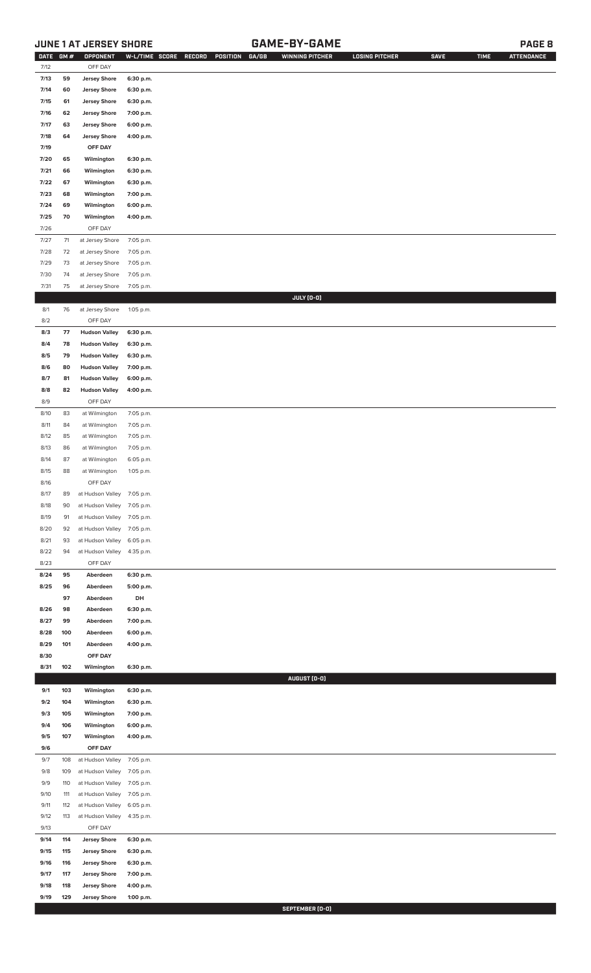# **JUNE 1 AT JERSEY SHORE GAME-BY-GAME PAGE 8**

| DATE GM # |     | OPPONENT             |           | GA/GB<br>W-L/TIME SCORE<br>RECORD<br>POSITION | <b>WINNING PITCHER</b> | <b>LOSING PITCHER</b> | <b>SAVE</b> | <b>TIME</b> | <b>ATTENDANCE</b> |
|-----------|-----|----------------------|-----------|-----------------------------------------------|------------------------|-----------------------|-------------|-------------|-------------------|
| 7/12      |     | OFF DAY              |           |                                               |                        |                       |             |             |                   |
| 7/13      | 59  | <b>Jersey Shore</b>  | 6:30 p.m. |                                               |                        |                       |             |             |                   |
| 7/14      | 60  | <b>Jersey Shore</b>  | 6:30 p.m. |                                               |                        |                       |             |             |                   |
| 7/15      | 61  | <b>Jersey Shore</b>  | 6:30 p.m. |                                               |                        |                       |             |             |                   |
| 7/16      | 62  | <b>Jersey Shore</b>  | 7:00 p.m. |                                               |                        |                       |             |             |                   |
| 7/17      | 63  | <b>Jersey Shore</b>  | 6:00 p.m. |                                               |                        |                       |             |             |                   |
| 7/18      | 64  | <b>Jersey Shore</b>  | 4:00 p.m. |                                               |                        |                       |             |             |                   |
|           |     |                      |           |                                               |                        |                       |             |             |                   |
| 7/19      |     | OFF DAY              |           |                                               |                        |                       |             |             |                   |
| 7/20      | 65  | Wilmington           | 6:30 p.m. |                                               |                        |                       |             |             |                   |
| 7/21      | 66  | Wilmington           | 6:30 p.m. |                                               |                        |                       |             |             |                   |
| 7/22      | 67  | Wilmington           | 6:30 p.m. |                                               |                        |                       |             |             |                   |
| 7/23      | 68  | Wilmington           | 7:00 p.m. |                                               |                        |                       |             |             |                   |
| 7/24      | 69  | Wilmington           | 6:00 p.m. |                                               |                        |                       |             |             |                   |
| 7/25      | 70  | Wilmington           | 4:00 p.m. |                                               |                        |                       |             |             |                   |
| 7/26      |     | OFF DAY              |           |                                               |                        |                       |             |             |                   |
| 7/27      | 71  | at Jersey Shore      | 7:05 p.m. |                                               |                        |                       |             |             |                   |
|           |     |                      |           |                                               |                        |                       |             |             |                   |
| 7/28      | 72  | at Jersey Shore      | 7:05 p.m. |                                               |                        |                       |             |             |                   |
| 7/29      | 73  | at Jersey Shore      | 7:05 p.m. |                                               |                        |                       |             |             |                   |
| 7/30      | 74  | at Jersey Shore      | 7:05 p.m. |                                               |                        |                       |             |             |                   |
| 7/31      | 75  | at Jersey Shore      | 7:05 p.m. |                                               |                        |                       |             |             |                   |
|           |     |                      |           |                                               | JULY (0-0)             |                       |             |             |                   |
| 8/1       | 76  | at Jersey Shore      | 1:05 p.m. |                                               |                        |                       |             |             |                   |
| 8/2       |     | OFF DAY              |           |                                               |                        |                       |             |             |                   |
| 8/3       | 77  | <b>Hudson Valley</b> | 6:30 p.m. |                                               |                        |                       |             |             |                   |
| 8/4       | 78  | <b>Hudson Valley</b> | 6:30 p.m. |                                               |                        |                       |             |             |                   |
| 8/5       | 79  | <b>Hudson Valley</b> | 6:30 p.m. |                                               |                        |                       |             |             |                   |
|           |     |                      |           |                                               |                        |                       |             |             |                   |
| 8/6       | 80  | <b>Hudson Valley</b> | 7:00 p.m. |                                               |                        |                       |             |             |                   |
| 8/7       | 81  | <b>Hudson Valley</b> | 6:00 p.m. |                                               |                        |                       |             |             |                   |
| 8/8       | 82  | <b>Hudson Valley</b> | 4:00 p.m. |                                               |                        |                       |             |             |                   |
| 8/9       |     | OFF DAY              |           |                                               |                        |                       |             |             |                   |
| 8/10      | 83  | at Wilmington        | 7:05 p.m. |                                               |                        |                       |             |             |                   |
| 8/11      | 84  | at Wilmington        | 7:05 p.m. |                                               |                        |                       |             |             |                   |
| 8/12      | 85  | at Wilmington        | 7:05 p.m. |                                               |                        |                       |             |             |                   |
| 8/13      | 86  | at Wilmington        | 7:05 p.m. |                                               |                        |                       |             |             |                   |
| 8/14      | 87  | at Wilmington        | 6:05 p.m. |                                               |                        |                       |             |             |                   |
| 8/15      | 88  | at Wilmington        |           |                                               |                        |                       |             |             |                   |
|           |     |                      | 1:05 p.m. |                                               |                        |                       |             |             |                   |
| 8/16      |     | OFF DAY              |           |                                               |                        |                       |             |             |                   |
| 8/17      | 89  | at Hudson Valley     | 7:05 p.m. |                                               |                        |                       |             |             |                   |
| 8/18      | 90  | at Hudson Valley     | 7:05 p.m. |                                               |                        |                       |             |             |                   |
| 8/19      | 91  | at Hudson Valley     | 7:05 p.m. |                                               |                        |                       |             |             |                   |
| 8/20      | 92  | at Hudson Valley     | 7:05 p.m. |                                               |                        |                       |             |             |                   |
| 8/21      | 93  | at Hudson Valley     | 6:05 p.m. |                                               |                        |                       |             |             |                   |
| 8/22      | 94  | at Hudson Valley     | 4:35 p.m. |                                               |                        |                       |             |             |                   |
| 8/23      |     | OFF DAY              |           |                                               |                        |                       |             |             |                   |
| 8/24      | 95  | Aberdeen             | 6:30 p.m. |                                               |                        |                       |             |             |                   |
|           |     |                      |           |                                               |                        |                       |             |             |                   |
| 8/25      | 96  | Aberdeen             | 5:00 p.m. |                                               |                        |                       |             |             |                   |
|           | 97  | Aberdeen             | DH        |                                               |                        |                       |             |             |                   |
| 8/26      | 98  | Aberdeen             | 6:30 p.m. |                                               |                        |                       |             |             |                   |
| 8/27      | 99  | Aberdeen             | 7:00 p.m. |                                               |                        |                       |             |             |                   |
| 8/28      | 100 | Aberdeen             | 6:00 p.m. |                                               |                        |                       |             |             |                   |
| 8/29      | 101 | Aberdeen             | 4:00 p.m. |                                               |                        |                       |             |             |                   |
| 8/30      |     | OFF DAY              |           |                                               |                        |                       |             |             |                   |
| 8/31      | 102 | Wilmington           | 6:30 p.m. |                                               |                        |                       |             |             |                   |
|           |     |                      |           |                                               | AUGUST (0-0)           |                       |             |             |                   |
| 9/1       | 103 | Wilmington           | 6:30 p.m. |                                               |                        |                       |             |             |                   |
| 9/2       | 104 | Wilmington           | 6:30 p.m. |                                               |                        |                       |             |             |                   |
|           | 105 |                      |           |                                               |                        |                       |             |             |                   |
| 9/3       |     | Wilmington           | 7:00 p.m. |                                               |                        |                       |             |             |                   |
| 9/4       | 106 | Wilmington           | 6:00 p.m. |                                               |                        |                       |             |             |                   |
| 9/5       | 107 | Wilmington           | 4:00 p.m. |                                               |                        |                       |             |             |                   |
| 9/6       |     | OFF DAY              |           |                                               |                        |                       |             |             |                   |
| 9/7       | 108 | at Hudson Valley     | 7:05 p.m. |                                               |                        |                       |             |             |                   |
| 9/8       | 109 | at Hudson Valley     | 7:05 p.m. |                                               |                        |                       |             |             |                   |
| 9/9       | 110 | at Hudson Valley     | 7:05 p.m. |                                               |                        |                       |             |             |                   |
| 9/10      | 111 | at Hudson Valley     | 7:05 p.m. |                                               |                        |                       |             |             |                   |
| 9/11      | 112 | at Hudson Valley     | 6:05 p.m. |                                               |                        |                       |             |             |                   |
| 9/12      | 113 | at Hudson Valley     | 4:35 p.m. |                                               |                        |                       |             |             |                   |
| 9/13      |     | OFF DAY              |           |                                               |                        |                       |             |             |                   |
|           |     |                      |           |                                               |                        |                       |             |             |                   |
| 9/14      | 114 | <b>Jersey Shore</b>  | 6:30 p.m. |                                               |                        |                       |             |             |                   |
| 9/15      | 115 | <b>Jersey Shore</b>  | 6:30 p.m. |                                               |                        |                       |             |             |                   |
| 9/16      | 116 | <b>Jersey Shore</b>  | 6:30 p.m. |                                               |                        |                       |             |             |                   |
| 9/17      | 117 | <b>Jersey Shore</b>  | 7:00 p.m. |                                               |                        |                       |             |             |                   |
| 9/18      | 118 | <b>Jersey Shore</b>  | 4:00 p.m. |                                               |                        |                       |             |             |                   |
| 9/19      | 129 | <b>Jersey Shore</b>  | 1:00 p.m. |                                               |                        |                       |             |             |                   |
|           |     |                      |           |                                               | SEPTEMBER [0-0]        |                       |             |             |                   |